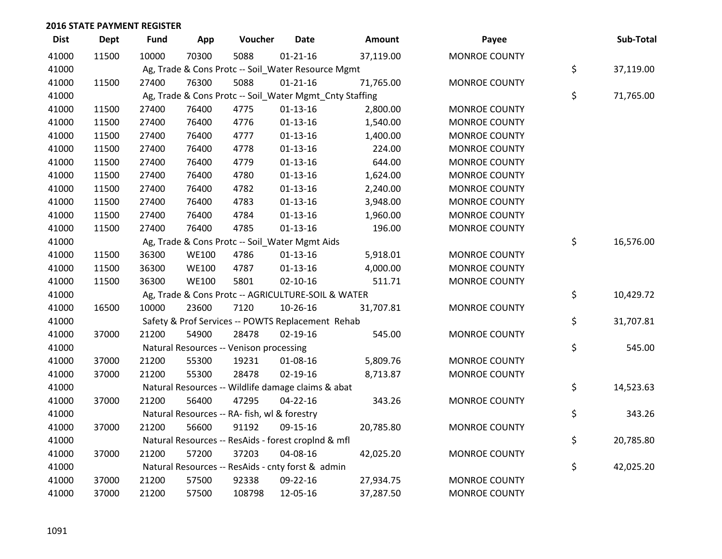| <b>Dist</b> | <b>Dept</b> | <b>Fund</b> | App          | Voucher                                      | <b>Date</b>                                             | Amount    | Payee                | Sub-Total       |
|-------------|-------------|-------------|--------------|----------------------------------------------|---------------------------------------------------------|-----------|----------------------|-----------------|
| 41000       | 11500       | 10000       | 70300        | 5088                                         | $01 - 21 - 16$                                          | 37,119.00 | <b>MONROE COUNTY</b> |                 |
| 41000       |             |             |              |                                              | Ag, Trade & Cons Protc -- Soil_Water Resource Mgmt      |           |                      | \$<br>37,119.00 |
| 41000       | 11500       | 27400       | 76300        | 5088                                         | $01 - 21 - 16$                                          | 71,765.00 | <b>MONROE COUNTY</b> |                 |
| 41000       |             |             |              |                                              | Ag, Trade & Cons Protc -- Soil_Water Mgmt_Cnty Staffing |           |                      | \$<br>71,765.00 |
| 41000       | 11500       | 27400       | 76400        | 4775                                         | $01-13-16$                                              | 2,800.00  | MONROE COUNTY        |                 |
| 41000       | 11500       | 27400       | 76400        | 4776                                         | $01 - 13 - 16$                                          | 1,540.00  | <b>MONROE COUNTY</b> |                 |
| 41000       | 11500       | 27400       | 76400        | 4777                                         | $01 - 13 - 16$                                          | 1,400.00  | <b>MONROE COUNTY</b> |                 |
| 41000       | 11500       | 27400       | 76400        | 4778                                         | $01 - 13 - 16$                                          | 224.00    | <b>MONROE COUNTY</b> |                 |
| 41000       | 11500       | 27400       | 76400        | 4779                                         | $01-13-16$                                              | 644.00    | <b>MONROE COUNTY</b> |                 |
| 41000       | 11500       | 27400       | 76400        | 4780                                         | $01-13-16$                                              | 1,624.00  | <b>MONROE COUNTY</b> |                 |
| 41000       | 11500       | 27400       | 76400        | 4782                                         | $01-13-16$                                              | 2,240.00  | <b>MONROE COUNTY</b> |                 |
| 41000       | 11500       | 27400       | 76400        | 4783                                         | $01-13-16$                                              | 3,948.00  | <b>MONROE COUNTY</b> |                 |
| 41000       | 11500       | 27400       | 76400        | 4784                                         | $01 - 13 - 16$                                          | 1,960.00  | MONROE COUNTY        |                 |
| 41000       | 11500       | 27400       | 76400        | 4785                                         | $01 - 13 - 16$                                          | 196.00    | <b>MONROE COUNTY</b> |                 |
| 41000       |             |             |              |                                              | Ag, Trade & Cons Protc -- Soil_Water Mgmt Aids          |           |                      | \$<br>16,576.00 |
| 41000       | 11500       | 36300       | <b>WE100</b> | 4786                                         | $01-13-16$                                              | 5,918.01  | <b>MONROE COUNTY</b> |                 |
| 41000       | 11500       | 36300       | <b>WE100</b> | 4787                                         | $01-13-16$                                              | 4,000.00  | <b>MONROE COUNTY</b> |                 |
| 41000       | 11500       | 36300       | <b>WE100</b> | 5801                                         | $02 - 10 - 16$                                          | 511.71    | <b>MONROE COUNTY</b> |                 |
| 41000       |             |             |              |                                              | Ag, Trade & Cons Protc -- AGRICULTURE-SOIL & WATER      |           |                      | \$<br>10,429.72 |
| 41000       | 16500       | 10000       | 23600        | 7120                                         | 10-26-16                                                | 31,707.81 | <b>MONROE COUNTY</b> |                 |
| 41000       |             |             |              |                                              | Safety & Prof Services -- POWTS Replacement Rehab       |           |                      | \$<br>31,707.81 |
| 41000       | 37000       | 21200       | 54900        | 28478                                        | $02 - 19 - 16$                                          | 545.00    | <b>MONROE COUNTY</b> |                 |
| 41000       |             |             |              | Natural Resources -- Venison processing      |                                                         |           |                      | \$<br>545.00    |
| 41000       | 37000       | 21200       | 55300        | 19231                                        | 01-08-16                                                | 5,809.76  | <b>MONROE COUNTY</b> |                 |
| 41000       | 37000       | 21200       | 55300        | 28478                                        | 02-19-16                                                | 8,713.87  | <b>MONROE COUNTY</b> |                 |
| 41000       |             |             |              |                                              | Natural Resources -- Wildlife damage claims & abat      |           |                      | \$<br>14,523.63 |
| 41000       | 37000       | 21200       | 56400        | 47295                                        | $04 - 22 - 16$                                          | 343.26    | <b>MONROE COUNTY</b> |                 |
| 41000       |             |             |              | Natural Resources -- RA- fish, wl & forestry |                                                         |           |                      | \$<br>343.26    |
| 41000       | 37000       | 21200       | 56600        | 91192                                        | 09-15-16                                                | 20,785.80 | <b>MONROE COUNTY</b> |                 |
| 41000       |             |             |              |                                              | Natural Resources -- ResAids - forest croplnd & mfl     |           |                      | \$<br>20,785.80 |
| 41000       | 37000       | 21200       | 57200        | 37203                                        | 04-08-16                                                | 42,025.20 | <b>MONROE COUNTY</b> |                 |
| 41000       |             |             |              |                                              | Natural Resources -- ResAids - cnty forst & admin       |           |                      | \$<br>42,025.20 |
| 41000       | 37000       | 21200       | 57500        | 92338                                        | 09-22-16                                                | 27,934.75 | <b>MONROE COUNTY</b> |                 |
| 41000       | 37000       | 21200       | 57500        | 108798                                       | 12-05-16                                                | 37,287.50 | <b>MONROE COUNTY</b> |                 |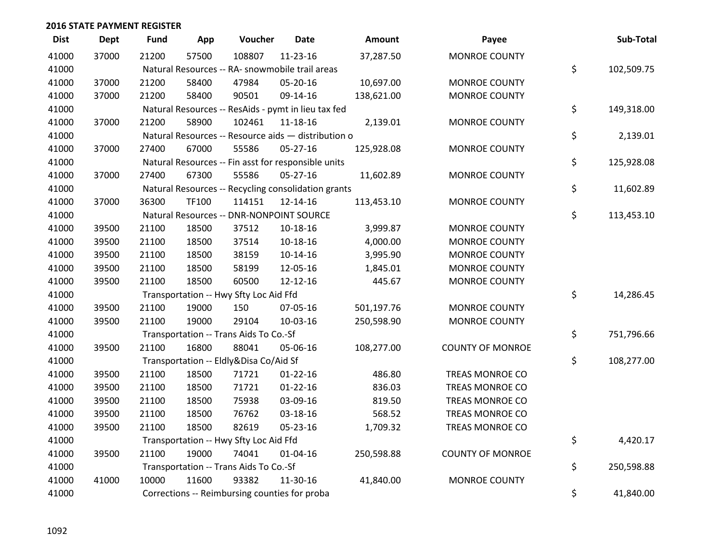| <b>Dist</b> | <b>Dept</b> | <b>Fund</b> | App   | Voucher                                             | <b>Date</b>    | Amount     | Payee                   | Sub-Total        |
|-------------|-------------|-------------|-------|-----------------------------------------------------|----------------|------------|-------------------------|------------------|
| 41000       | 37000       | 21200       | 57500 | 108807                                              | 11-23-16       | 37,287.50  | <b>MONROE COUNTY</b>    |                  |
| 41000       |             |             |       | Natural Resources -- RA- snowmobile trail areas     |                |            |                         | \$<br>102,509.75 |
| 41000       | 37000       | 21200       | 58400 | 47984                                               | 05-20-16       | 10,697.00  | <b>MONROE COUNTY</b>    |                  |
| 41000       | 37000       | 21200       | 58400 | 90501                                               | 09-14-16       | 138,621.00 | <b>MONROE COUNTY</b>    |                  |
| 41000       |             |             |       | Natural Resources -- ResAids - pymt in lieu tax fed |                |            |                         | \$<br>149,318.00 |
| 41000       | 37000       | 21200       | 58900 | 102461                                              | 11-18-16       | 2,139.01   | <b>MONROE COUNTY</b>    |                  |
| 41000       |             |             |       | Natural Resources -- Resource aids - distribution o |                |            |                         | \$<br>2,139.01   |
| 41000       | 37000       | 27400       | 67000 | 55586                                               | $05 - 27 - 16$ | 125,928.08 | <b>MONROE COUNTY</b>    |                  |
| 41000       |             |             |       | Natural Resources -- Fin asst for responsible units |                |            |                         | \$<br>125,928.08 |
| 41000       | 37000       | 27400       | 67300 | 55586                                               | 05-27-16       | 11,602.89  | <b>MONROE COUNTY</b>    |                  |
| 41000       |             |             |       | Natural Resources -- Recycling consolidation grants |                |            |                         | \$<br>11,602.89  |
| 41000       | 37000       | 36300       | TF100 | 114151                                              | 12-14-16       | 113,453.10 | <b>MONROE COUNTY</b>    |                  |
| 41000       |             |             |       | Natural Resources -- DNR-NONPOINT SOURCE            |                |            |                         | \$<br>113,453.10 |
| 41000       | 39500       | 21100       | 18500 | 37512                                               | 10-18-16       | 3,999.87   | <b>MONROE COUNTY</b>    |                  |
| 41000       | 39500       | 21100       | 18500 | 37514                                               | 10-18-16       | 4,000.00   | <b>MONROE COUNTY</b>    |                  |
| 41000       | 39500       | 21100       | 18500 | 38159                                               | $10-14-16$     | 3,995.90   | <b>MONROE COUNTY</b>    |                  |
| 41000       | 39500       | 21100       | 18500 | 58199                                               | 12-05-16       | 1,845.01   | <b>MONROE COUNTY</b>    |                  |
| 41000       | 39500       | 21100       | 18500 | 60500                                               | 12-12-16       | 445.67     | <b>MONROE COUNTY</b>    |                  |
| 41000       |             |             |       | Transportation -- Hwy Sfty Loc Aid Ffd              |                |            |                         | \$<br>14,286.45  |
| 41000       | 39500       | 21100       | 19000 | 150                                                 | 07-05-16       | 501,197.76 | <b>MONROE COUNTY</b>    |                  |
| 41000       | 39500       | 21100       | 19000 | 29104                                               | 10-03-16       | 250,598.90 | <b>MONROE COUNTY</b>    |                  |
| 41000       |             |             |       | Transportation -- Trans Aids To Co.-Sf              |                |            |                         | \$<br>751,796.66 |
| 41000       | 39500       | 21100       | 16800 | 88041                                               | 05-06-16       | 108,277.00 | <b>COUNTY OF MONROE</b> |                  |
| 41000       |             |             |       | Transportation -- Eldly&Disa Co/Aid Sf              |                |            |                         | \$<br>108,277.00 |
| 41000       | 39500       | 21100       | 18500 | 71721                                               | $01 - 22 - 16$ | 486.80     | TREAS MONROE CO         |                  |
| 41000       | 39500       | 21100       | 18500 | 71721                                               | $01 - 22 - 16$ | 836.03     | TREAS MONROE CO         |                  |
| 41000       | 39500       | 21100       | 18500 | 75938                                               | 03-09-16       | 819.50     | <b>TREAS MONROE CO</b>  |                  |
| 41000       | 39500       | 21100       | 18500 | 76762                                               | 03-18-16       | 568.52     | <b>TREAS MONROE CO</b>  |                  |
| 41000       | 39500       | 21100       | 18500 | 82619                                               | 05-23-16       | 1,709.32   | TREAS MONROE CO         |                  |
| 41000       |             |             |       | Transportation -- Hwy Sfty Loc Aid Ffd              |                |            |                         | \$<br>4,420.17   |
| 41000       | 39500       | 21100       | 19000 | 74041                                               | $01 - 04 - 16$ | 250,598.88 | <b>COUNTY OF MONROE</b> |                  |
| 41000       |             |             |       | Transportation -- Trans Aids To Co.-Sf              |                |            |                         | \$<br>250,598.88 |
| 41000       | 41000       | 10000       | 11600 | 93382                                               | 11-30-16       | 41,840.00  | <b>MONROE COUNTY</b>    |                  |
| 41000       |             |             |       | Corrections -- Reimbursing counties for proba       |                |            |                         | \$<br>41,840.00  |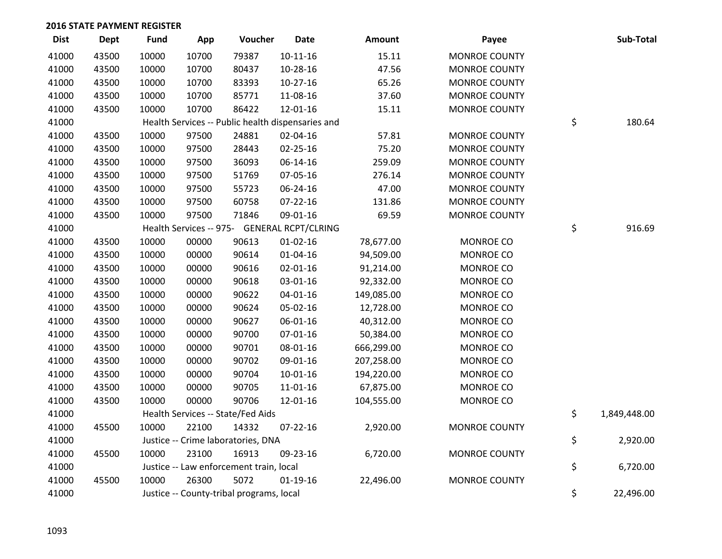| <b>Dist</b> | <b>Dept</b> | <b>Fund</b> | App   | Voucher                                           | <b>Date</b>    | Amount     | Payee                | Sub-Total          |
|-------------|-------------|-------------|-------|---------------------------------------------------|----------------|------------|----------------------|--------------------|
| 41000       | 43500       | 10000       | 10700 | 79387                                             | $10 - 11 - 16$ | 15.11      | <b>MONROE COUNTY</b> |                    |
| 41000       | 43500       | 10000       | 10700 | 80437                                             | 10-28-16       | 47.56      | <b>MONROE COUNTY</b> |                    |
| 41000       | 43500       | 10000       | 10700 | 83393                                             | $10-27-16$     | 65.26      | <b>MONROE COUNTY</b> |                    |
| 41000       | 43500       | 10000       | 10700 | 85771                                             | 11-08-16       | 37.60      | <b>MONROE COUNTY</b> |                    |
| 41000       | 43500       | 10000       | 10700 | 86422                                             | 12-01-16       | 15.11      | <b>MONROE COUNTY</b> |                    |
| 41000       |             |             |       | Health Services -- Public health dispensaries and |                |            |                      | \$<br>180.64       |
| 41000       | 43500       | 10000       | 97500 | 24881                                             | 02-04-16       | 57.81      | <b>MONROE COUNTY</b> |                    |
| 41000       | 43500       | 10000       | 97500 | 28443                                             | $02 - 25 - 16$ | 75.20      | <b>MONROE COUNTY</b> |                    |
| 41000       | 43500       | 10000       | 97500 | 36093                                             | 06-14-16       | 259.09     | <b>MONROE COUNTY</b> |                    |
| 41000       | 43500       | 10000       | 97500 | 51769                                             | 07-05-16       | 276.14     | <b>MONROE COUNTY</b> |                    |
| 41000       | 43500       | 10000       | 97500 | 55723                                             | 06-24-16       | 47.00      | <b>MONROE COUNTY</b> |                    |
| 41000       | 43500       | 10000       | 97500 | 60758                                             | 07-22-16       | 131.86     | <b>MONROE COUNTY</b> |                    |
| 41000       | 43500       | 10000       | 97500 | 71846                                             | 09-01-16       | 69.59      | <b>MONROE COUNTY</b> |                    |
| 41000       |             |             |       | Health Services -- 975- GENERAL RCPT/CLRING       |                |            |                      | \$<br>916.69       |
| 41000       | 43500       | 10000       | 00000 | 90613                                             | $01 - 02 - 16$ | 78,677.00  | MONROE CO            |                    |
| 41000       | 43500       | 10000       | 00000 | 90614                                             | $01 - 04 - 16$ | 94,509.00  | <b>MONROE CO</b>     |                    |
| 41000       | 43500       | 10000       | 00000 | 90616                                             | 02-01-16       | 91,214.00  | MONROE CO            |                    |
| 41000       | 43500       | 10000       | 00000 | 90618                                             | 03-01-16       | 92,332.00  | MONROE CO            |                    |
| 41000       | 43500       | 10000       | 00000 | 90622                                             | $04 - 01 - 16$ | 149,085.00 | MONROE CO            |                    |
| 41000       | 43500       | 10000       | 00000 | 90624                                             | 05-02-16       | 12,728.00  | <b>MONROE CO</b>     |                    |
| 41000       | 43500       | 10000       | 00000 | 90627                                             | 06-01-16       | 40,312.00  | <b>MONROE CO</b>     |                    |
| 41000       | 43500       | 10000       | 00000 | 90700                                             | 07-01-16       | 50,384.00  | MONROE CO            |                    |
| 41000       | 43500       | 10000       | 00000 | 90701                                             | 08-01-16       | 666,299.00 | MONROE CO            |                    |
| 41000       | 43500       | 10000       | 00000 | 90702                                             | 09-01-16       | 207,258.00 | <b>MONROE CO</b>     |                    |
| 41000       | 43500       | 10000       | 00000 | 90704                                             | $10-01-16$     | 194,220.00 | <b>MONROE CO</b>     |                    |
| 41000       | 43500       | 10000       | 00000 | 90705                                             | 11-01-16       | 67,875.00  | MONROE CO            |                    |
| 41000       | 43500       | 10000       | 00000 | 90706                                             | 12-01-16       | 104,555.00 | MONROE CO            |                    |
| 41000       |             |             |       | Health Services -- State/Fed Aids                 |                |            |                      | \$<br>1,849,448.00 |
| 41000       | 45500       | 10000       | 22100 | 14332                                             | $07 - 22 - 16$ | 2,920.00   | <b>MONROE COUNTY</b> |                    |
| 41000       |             |             |       | Justice -- Crime laboratories, DNA                |                |            |                      | \$<br>2,920.00     |
| 41000       | 45500       | 10000       | 23100 | 16913                                             | 09-23-16       | 6,720.00   | <b>MONROE COUNTY</b> |                    |
| 41000       |             |             |       | Justice -- Law enforcement train, local           |                |            |                      | \$<br>6,720.00     |
| 41000       | 45500       | 10000       | 26300 | 5072                                              | $01-19-16$     | 22,496.00  | <b>MONROE COUNTY</b> |                    |
| 41000       |             |             |       | Justice -- County-tribal programs, local          |                |            |                      | \$<br>22,496.00    |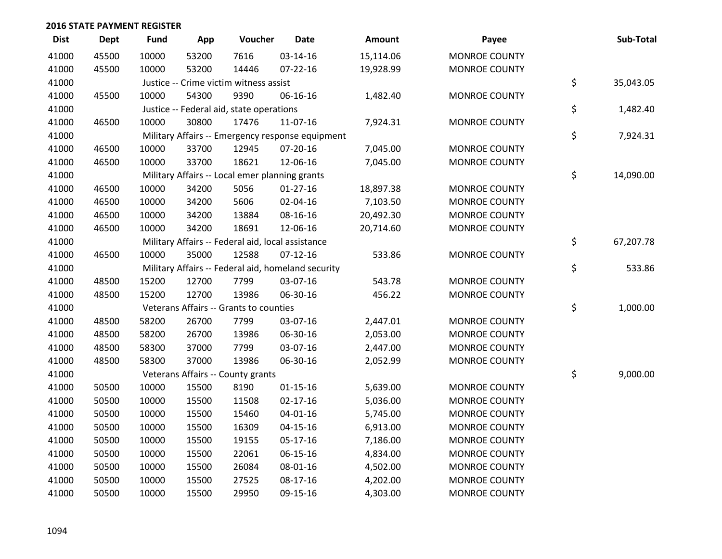| <b>Dist</b> | Dept  | <b>Fund</b> | App   | Voucher                                           | <b>Date</b>                                        | Amount    | Payee                | Sub-Total       |
|-------------|-------|-------------|-------|---------------------------------------------------|----------------------------------------------------|-----------|----------------------|-----------------|
| 41000       | 45500 | 10000       | 53200 | 7616                                              | 03-14-16                                           | 15,114.06 | <b>MONROE COUNTY</b> |                 |
| 41000       | 45500 | 10000       | 53200 | 14446                                             | $07 - 22 - 16$                                     | 19,928.99 | <b>MONROE COUNTY</b> |                 |
| 41000       |       |             |       | Justice -- Crime victim witness assist            |                                                    |           |                      | \$<br>35,043.05 |
| 41000       | 45500 | 10000       | 54300 | 9390                                              | 06-16-16                                           | 1,482.40  | <b>MONROE COUNTY</b> |                 |
| 41000       |       |             |       | Justice -- Federal aid, state operations          |                                                    |           |                      | \$<br>1,482.40  |
| 41000       | 46500 | 10000       | 30800 | 17476                                             | 11-07-16                                           | 7,924.31  | <b>MONROE COUNTY</b> |                 |
| 41000       |       |             |       |                                                   | Military Affairs -- Emergency response equipment   |           |                      | \$<br>7,924.31  |
| 41000       | 46500 | 10000       | 33700 | 12945                                             | 07-20-16                                           | 7,045.00  | <b>MONROE COUNTY</b> |                 |
| 41000       | 46500 | 10000       | 33700 | 18621                                             | 12-06-16                                           | 7,045.00  | <b>MONROE COUNTY</b> |                 |
| 41000       |       |             |       | Military Affairs -- Local emer planning grants    |                                                    |           |                      | \$<br>14,090.00 |
| 41000       | 46500 | 10000       | 34200 | 5056                                              | $01-27-16$                                         | 18,897.38 | <b>MONROE COUNTY</b> |                 |
| 41000       | 46500 | 10000       | 34200 | 5606                                              | 02-04-16                                           | 7,103.50  | <b>MONROE COUNTY</b> |                 |
| 41000       | 46500 | 10000       | 34200 | 13884                                             | 08-16-16                                           | 20,492.30 | <b>MONROE COUNTY</b> |                 |
| 41000       | 46500 | 10000       | 34200 | 18691                                             | 12-06-16                                           | 20,714.60 | <b>MONROE COUNTY</b> |                 |
| 41000       |       |             |       | Military Affairs -- Federal aid, local assistance |                                                    |           |                      | \$<br>67,207.78 |
| 41000       | 46500 | 10000       | 35000 | 12588                                             | $07-12-16$                                         | 533.86    | <b>MONROE COUNTY</b> |                 |
| 41000       |       |             |       |                                                   | Military Affairs -- Federal aid, homeland security |           |                      | \$<br>533.86    |
| 41000       | 48500 | 15200       | 12700 | 7799                                              | 03-07-16                                           | 543.78    | <b>MONROE COUNTY</b> |                 |
| 41000       | 48500 | 15200       | 12700 | 13986                                             | 06-30-16                                           | 456.22    | <b>MONROE COUNTY</b> |                 |
| 41000       |       |             |       | Veterans Affairs -- Grants to counties            |                                                    |           |                      | \$<br>1,000.00  |
| 41000       | 48500 | 58200       | 26700 | 7799                                              | 03-07-16                                           | 2,447.01  | <b>MONROE COUNTY</b> |                 |
| 41000       | 48500 | 58200       | 26700 | 13986                                             | 06-30-16                                           | 2,053.00  | <b>MONROE COUNTY</b> |                 |
| 41000       | 48500 | 58300       | 37000 | 7799                                              | 03-07-16                                           | 2,447.00  | <b>MONROE COUNTY</b> |                 |
| 41000       | 48500 | 58300       | 37000 | 13986                                             | 06-30-16                                           | 2,052.99  | <b>MONROE COUNTY</b> |                 |
| 41000       |       |             |       | Veterans Affairs -- County grants                 |                                                    |           |                      | \$<br>9,000.00  |
| 41000       | 50500 | 10000       | 15500 | 8190                                              | $01 - 15 - 16$                                     | 5,639.00  | <b>MONROE COUNTY</b> |                 |
| 41000       | 50500 | 10000       | 15500 | 11508                                             | $02 - 17 - 16$                                     | 5,036.00  | <b>MONROE COUNTY</b> |                 |
| 41000       | 50500 | 10000       | 15500 | 15460                                             | 04-01-16                                           | 5,745.00  | <b>MONROE COUNTY</b> |                 |
| 41000       | 50500 | 10000       | 15500 | 16309                                             | $04 - 15 - 16$                                     | 6,913.00  | <b>MONROE COUNTY</b> |                 |
| 41000       | 50500 | 10000       | 15500 | 19155                                             | 05-17-16                                           | 7,186.00  | <b>MONROE COUNTY</b> |                 |
| 41000       | 50500 | 10000       | 15500 | 22061                                             | 06-15-16                                           | 4,834.00  | <b>MONROE COUNTY</b> |                 |
| 41000       | 50500 | 10000       | 15500 | 26084                                             | 08-01-16                                           | 4,502.00  | <b>MONROE COUNTY</b> |                 |
| 41000       | 50500 | 10000       | 15500 | 27525                                             | 08-17-16                                           | 4,202.00  | <b>MONROE COUNTY</b> |                 |
| 41000       | 50500 | 10000       | 15500 | 29950                                             | 09-15-16                                           | 4,303.00  | <b>MONROE COUNTY</b> |                 |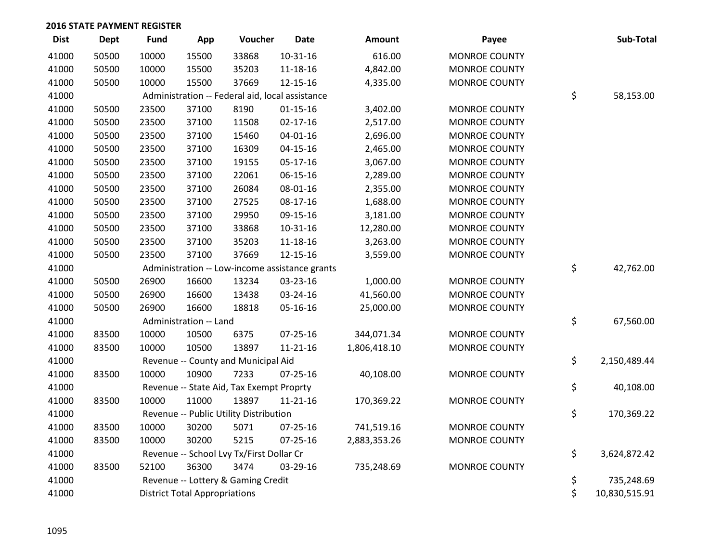| <b>Dist</b> | <b>Dept</b> | <b>Fund</b> | App                                  | Voucher                                         | <b>Date</b>                                    | <b>Amount</b> | Payee                | Sub-Total           |
|-------------|-------------|-------------|--------------------------------------|-------------------------------------------------|------------------------------------------------|---------------|----------------------|---------------------|
| 41000       | 50500       | 10000       | 15500                                | 33868                                           | $10 - 31 - 16$                                 | 616.00        | <b>MONROE COUNTY</b> |                     |
| 41000       | 50500       | 10000       | 15500                                | 35203                                           | 11-18-16                                       | 4,842.00      | <b>MONROE COUNTY</b> |                     |
| 41000       | 50500       | 10000       | 15500                                | 37669                                           | 12-15-16                                       | 4,335.00      | <b>MONROE COUNTY</b> |                     |
| 41000       |             |             |                                      | Administration -- Federal aid, local assistance |                                                |               |                      | \$<br>58,153.00     |
| 41000       | 50500       | 23500       | 37100                                | 8190                                            | $01 - 15 - 16$                                 | 3,402.00      | <b>MONROE COUNTY</b> |                     |
| 41000       | 50500       | 23500       | 37100                                | 11508                                           | $02 - 17 - 16$                                 | 2,517.00      | <b>MONROE COUNTY</b> |                     |
| 41000       | 50500       | 23500       | 37100                                | 15460                                           | $04 - 01 - 16$                                 | 2,696.00      | <b>MONROE COUNTY</b> |                     |
| 41000       | 50500       | 23500       | 37100                                | 16309                                           | $04 - 15 - 16$                                 | 2,465.00      | <b>MONROE COUNTY</b> |                     |
| 41000       | 50500       | 23500       | 37100                                | 19155                                           | 05-17-16                                       | 3,067.00      | <b>MONROE COUNTY</b> |                     |
| 41000       | 50500       | 23500       | 37100                                | 22061                                           | 06-15-16                                       | 2,289.00      | <b>MONROE COUNTY</b> |                     |
| 41000       | 50500       | 23500       | 37100                                | 26084                                           | 08-01-16                                       | 2,355.00      | <b>MONROE COUNTY</b> |                     |
| 41000       | 50500       | 23500       | 37100                                | 27525                                           | $08-17-16$                                     | 1,688.00      | <b>MONROE COUNTY</b> |                     |
| 41000       | 50500       | 23500       | 37100                                | 29950                                           | 09-15-16                                       | 3,181.00      | <b>MONROE COUNTY</b> |                     |
| 41000       | 50500       | 23500       | 37100                                | 33868                                           | 10-31-16                                       | 12,280.00     | <b>MONROE COUNTY</b> |                     |
| 41000       | 50500       | 23500       | 37100                                | 35203                                           | 11-18-16                                       | 3,263.00      | <b>MONROE COUNTY</b> |                     |
| 41000       | 50500       | 23500       | 37100                                | 37669                                           | 12-15-16                                       | 3,559.00      | <b>MONROE COUNTY</b> |                     |
| 41000       |             |             |                                      |                                                 | Administration -- Low-income assistance grants |               |                      | \$<br>42,762.00     |
| 41000       | 50500       | 26900       | 16600                                | 13234                                           | 03-23-16                                       | 1,000.00      | <b>MONROE COUNTY</b> |                     |
| 41000       | 50500       | 26900       | 16600                                | 13438                                           | 03-24-16                                       | 41,560.00     | <b>MONROE COUNTY</b> |                     |
| 41000       | 50500       | 26900       | 16600                                | 18818                                           | 05-16-16                                       | 25,000.00     | <b>MONROE COUNTY</b> |                     |
| 41000       |             |             | Administration -- Land               |                                                 |                                                |               |                      | \$<br>67,560.00     |
| 41000       | 83500       | 10000       | 10500                                | 6375                                            | $07 - 25 - 16$                                 | 344,071.34    | <b>MONROE COUNTY</b> |                     |
| 41000       | 83500       | 10000       | 10500                                | 13897                                           | $11 - 21 - 16$                                 | 1,806,418.10  | <b>MONROE COUNTY</b> |                     |
| 41000       |             |             |                                      | Revenue -- County and Municipal Aid             |                                                |               |                      | \$<br>2,150,489.44  |
| 41000       | 83500       | 10000       | 10900                                | 7233                                            | 07-25-16                                       | 40,108.00     | <b>MONROE COUNTY</b> |                     |
| 41000       |             |             |                                      | Revenue -- State Aid, Tax Exempt Proprty        |                                                |               |                      | \$<br>40,108.00     |
| 41000       | 83500       | 10000       | 11000                                | 13897                                           | $11 - 21 - 16$                                 | 170,369.22    | <b>MONROE COUNTY</b> |                     |
| 41000       |             |             |                                      | Revenue -- Public Utility Distribution          |                                                |               |                      | \$<br>170,369.22    |
| 41000       | 83500       | 10000       | 30200                                | 5071                                            | $07 - 25 - 16$                                 | 741,519.16    | <b>MONROE COUNTY</b> |                     |
| 41000       | 83500       | 10000       | 30200                                | 5215                                            | $07 - 25 - 16$                                 | 2,883,353.26  | <b>MONROE COUNTY</b> |                     |
| 41000       |             |             |                                      | Revenue -- School Lvy Tx/First Dollar Cr        |                                                |               |                      | \$<br>3,624,872.42  |
| 41000       | 83500       | 52100       | 36300                                | 3474                                            | 03-29-16                                       | 735,248.69    | <b>MONROE COUNTY</b> |                     |
| 41000       |             |             |                                      | Revenue -- Lottery & Gaming Credit              |                                                |               |                      | \$<br>735,248.69    |
| 41000       |             |             | <b>District Total Appropriations</b> |                                                 |                                                |               |                      | \$<br>10,830,515.91 |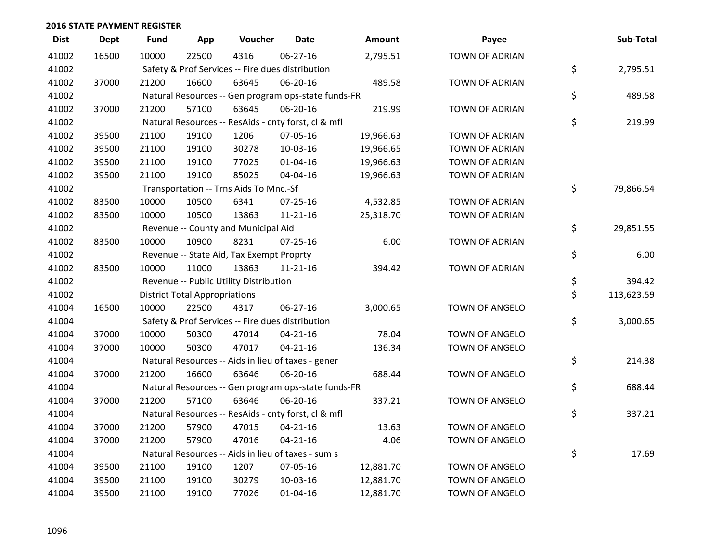| <b>Dist</b> | <b>Dept</b> | <b>Fund</b> | App                                  | Voucher                                             | <b>Date</b>    | Amount    | Payee                 | Sub-Total        |
|-------------|-------------|-------------|--------------------------------------|-----------------------------------------------------|----------------|-----------|-----------------------|------------------|
| 41002       | 16500       | 10000       | 22500                                | 4316                                                | 06-27-16       | 2,795.51  | <b>TOWN OF ADRIAN</b> |                  |
| 41002       |             |             |                                      | Safety & Prof Services -- Fire dues distribution    |                |           |                       | \$<br>2,795.51   |
| 41002       | 37000       | 21200       | 16600                                | 63645                                               | 06-20-16       | 489.58    | <b>TOWN OF ADRIAN</b> |                  |
| 41002       |             |             |                                      | Natural Resources -- Gen program ops-state funds-FR |                |           |                       | \$<br>489.58     |
| 41002       | 37000       | 21200       | 57100                                | 63645                                               | 06-20-16       | 219.99    | <b>TOWN OF ADRIAN</b> |                  |
| 41002       |             |             |                                      | Natural Resources -- ResAids - cnty forst, cl & mfl |                |           |                       | \$<br>219.99     |
| 41002       | 39500       | 21100       | 19100                                | 1206                                                | 07-05-16       | 19,966.63 | TOWN OF ADRIAN        |                  |
| 41002       | 39500       | 21100       | 19100                                | 30278                                               | 10-03-16       | 19,966.65 | <b>TOWN OF ADRIAN</b> |                  |
| 41002       | 39500       | 21100       | 19100                                | 77025                                               | $01 - 04 - 16$ | 19,966.63 | TOWN OF ADRIAN        |                  |
| 41002       | 39500       | 21100       | 19100                                | 85025                                               | 04-04-16       | 19,966.63 | TOWN OF ADRIAN        |                  |
| 41002       |             |             |                                      | Transportation -- Trns Aids To Mnc.-Sf              |                |           |                       | \$<br>79,866.54  |
| 41002       | 83500       | 10000       | 10500                                | 6341                                                | $07 - 25 - 16$ | 4,532.85  | <b>TOWN OF ADRIAN</b> |                  |
| 41002       | 83500       | 10000       | 10500                                | 13863                                               | $11 - 21 - 16$ | 25,318.70 | TOWN OF ADRIAN        |                  |
| 41002       |             |             |                                      | Revenue -- County and Municipal Aid                 |                |           |                       | \$<br>29,851.55  |
| 41002       | 83500       | 10000       | 10900                                | 8231                                                | $07 - 25 - 16$ | 6.00      | TOWN OF ADRIAN        |                  |
| 41002       |             |             |                                      | Revenue -- State Aid, Tax Exempt Proprty            |                |           |                       | \$<br>6.00       |
| 41002       | 83500       | 10000       | 11000                                | 13863                                               | $11 - 21 - 16$ | 394.42    | <b>TOWN OF ADRIAN</b> |                  |
| 41002       |             |             |                                      | Revenue -- Public Utility Distribution              |                |           |                       | \$<br>394.42     |
| 41002       |             |             | <b>District Total Appropriations</b> |                                                     |                |           |                       | \$<br>113,623.59 |
| 41004       | 16500       | 10000       | 22500                                | 4317                                                | 06-27-16       | 3,000.65  | TOWN OF ANGELO        |                  |
| 41004       |             |             |                                      | Safety & Prof Services -- Fire dues distribution    |                |           |                       | \$<br>3,000.65   |
| 41004       | 37000       | 10000       | 50300                                | 47014                                               | $04 - 21 - 16$ | 78.04     | <b>TOWN OF ANGELO</b> |                  |
| 41004       | 37000       | 10000       | 50300                                | 47017                                               | $04 - 21 - 16$ | 136.34    | TOWN OF ANGELO        |                  |
| 41004       |             |             |                                      | Natural Resources -- Aids in lieu of taxes - gener  |                |           |                       | \$<br>214.38     |
| 41004       | 37000       | 21200       | 16600                                | 63646                                               | 06-20-16       | 688.44    | TOWN OF ANGELO        |                  |
| 41004       |             |             |                                      | Natural Resources -- Gen program ops-state funds-FR |                |           |                       | \$<br>688.44     |
| 41004       | 37000       | 21200       | 57100                                | 63646                                               | 06-20-16       | 337.21    | TOWN OF ANGELO        |                  |
| 41004       |             |             |                                      | Natural Resources -- ResAids - cnty forst, cl & mfl |                |           |                       | \$<br>337.21     |
| 41004       | 37000       | 21200       | 57900                                | 47015                                               | $04 - 21 - 16$ | 13.63     | <b>TOWN OF ANGELO</b> |                  |
| 41004       | 37000       | 21200       | 57900                                | 47016                                               | $04 - 21 - 16$ | 4.06      | TOWN OF ANGELO        |                  |
| 41004       |             |             |                                      | Natural Resources -- Aids in lieu of taxes - sum s  |                |           |                       | \$<br>17.69      |
| 41004       | 39500       | 21100       | 19100                                | 1207                                                | 07-05-16       | 12,881.70 | <b>TOWN OF ANGELO</b> |                  |
| 41004       | 39500       | 21100       | 19100                                | 30279                                               | 10-03-16       | 12,881.70 | <b>TOWN OF ANGELO</b> |                  |
| 41004       | 39500       | 21100       | 19100                                | 77026                                               | 01-04-16       | 12,881.70 | TOWN OF ANGELO        |                  |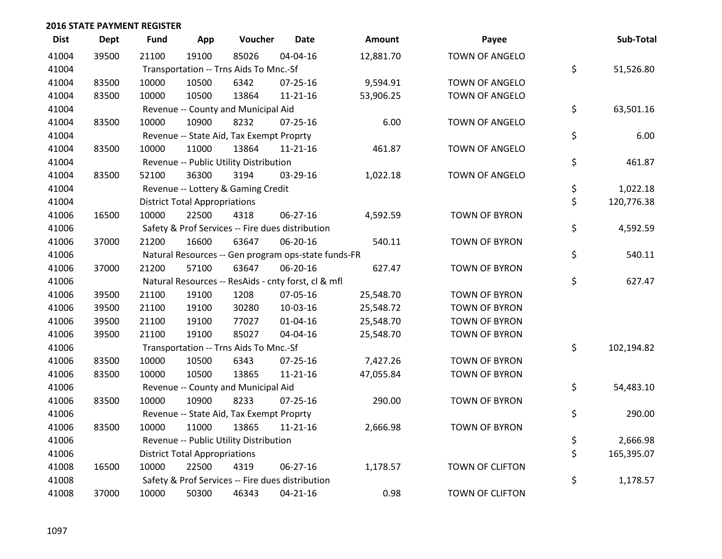| <b>Dist</b> | <b>Dept</b> | <b>Fund</b> | App                                  | Voucher                                          | Date                                                | <b>Amount</b> | Payee                  | Sub-Total        |
|-------------|-------------|-------------|--------------------------------------|--------------------------------------------------|-----------------------------------------------------|---------------|------------------------|------------------|
| 41004       | 39500       | 21100       | 19100                                | 85026                                            | 04-04-16                                            | 12,881.70     | <b>TOWN OF ANGELO</b>  |                  |
| 41004       |             |             |                                      | Transportation -- Trns Aids To Mnc.-Sf           |                                                     |               |                        | \$<br>51,526.80  |
| 41004       | 83500       | 10000       | 10500                                | 6342                                             | $07 - 25 - 16$                                      | 9,594.91      | <b>TOWN OF ANGELO</b>  |                  |
| 41004       | 83500       | 10000       | 10500                                | 13864                                            | $11 - 21 - 16$                                      | 53,906.25     | <b>TOWN OF ANGELO</b>  |                  |
| 41004       |             |             |                                      | Revenue -- County and Municipal Aid              |                                                     |               |                        | \$<br>63,501.16  |
| 41004       | 83500       | 10000       | 10900                                | 8232                                             | 07-25-16                                            | 6.00          | TOWN OF ANGELO         |                  |
| 41004       |             |             |                                      | Revenue -- State Aid, Tax Exempt Proprty         |                                                     |               |                        | \$<br>6.00       |
| 41004       | 83500       | 10000       | 11000                                | 13864                                            | $11 - 21 - 16$                                      | 461.87        | TOWN OF ANGELO         |                  |
| 41004       |             |             |                                      | Revenue -- Public Utility Distribution           |                                                     |               |                        | \$<br>461.87     |
| 41004       | 83500       | 52100       | 36300                                | 3194                                             | 03-29-16                                            | 1,022.18      | TOWN OF ANGELO         |                  |
| 41004       |             |             |                                      | Revenue -- Lottery & Gaming Credit               |                                                     |               |                        | \$<br>1,022.18   |
| 41004       |             |             | <b>District Total Appropriations</b> |                                                  |                                                     |               |                        | \$<br>120,776.38 |
| 41006       | 16500       | 10000       | 22500                                | 4318                                             | 06-27-16                                            | 4,592.59      | <b>TOWN OF BYRON</b>   |                  |
| 41006       |             |             |                                      | Safety & Prof Services -- Fire dues distribution |                                                     |               |                        | \$<br>4,592.59   |
| 41006       | 37000       | 21200       | 16600                                | 63647                                            | 06-20-16                                            | 540.11        | <b>TOWN OF BYRON</b>   |                  |
| 41006       |             |             |                                      |                                                  | Natural Resources -- Gen program ops-state funds-FR |               |                        | \$<br>540.11     |
| 41006       | 37000       | 21200       | 57100                                | 63647                                            | 06-20-16                                            | 627.47        | <b>TOWN OF BYRON</b>   |                  |
| 41006       |             |             |                                      |                                                  | Natural Resources -- ResAids - cnty forst, cl & mfl |               |                        | \$<br>627.47     |
| 41006       | 39500       | 21100       | 19100                                | 1208                                             | 07-05-16                                            | 25,548.70     | <b>TOWN OF BYRON</b>   |                  |
| 41006       | 39500       | 21100       | 19100                                | 30280                                            | 10-03-16                                            | 25,548.72     | <b>TOWN OF BYRON</b>   |                  |
| 41006       | 39500       | 21100       | 19100                                | 77027                                            | $01 - 04 - 16$                                      | 25,548.70     | <b>TOWN OF BYRON</b>   |                  |
| 41006       | 39500       | 21100       | 19100                                | 85027                                            | 04-04-16                                            | 25,548.70     | <b>TOWN OF BYRON</b>   |                  |
| 41006       |             |             |                                      | Transportation -- Trns Aids To Mnc.-Sf           |                                                     |               |                        | \$<br>102,194.82 |
| 41006       | 83500       | 10000       | 10500                                | 6343                                             | $07 - 25 - 16$                                      | 7,427.26      | <b>TOWN OF BYRON</b>   |                  |
| 41006       | 83500       | 10000       | 10500                                | 13865                                            | $11 - 21 - 16$                                      | 47,055.84     | <b>TOWN OF BYRON</b>   |                  |
| 41006       |             |             |                                      | Revenue -- County and Municipal Aid              |                                                     |               |                        | \$<br>54,483.10  |
| 41006       | 83500       | 10000       | 10900                                | 8233                                             | $07 - 25 - 16$                                      | 290.00        | <b>TOWN OF BYRON</b>   |                  |
| 41006       |             |             |                                      | Revenue -- State Aid, Tax Exempt Proprty         |                                                     |               |                        | \$<br>290.00     |
| 41006       | 83500       | 10000       | 11000                                | 13865                                            | $11 - 21 - 16$                                      | 2,666.98      | <b>TOWN OF BYRON</b>   |                  |
| 41006       |             |             |                                      | Revenue -- Public Utility Distribution           |                                                     |               |                        | \$<br>2,666.98   |
| 41006       |             |             | <b>District Total Appropriations</b> |                                                  |                                                     |               |                        | \$<br>165,395.07 |
| 41008       | 16500       | 10000       | 22500                                | 4319                                             | $06 - 27 - 16$                                      | 1,178.57      | <b>TOWN OF CLIFTON</b> |                  |
| 41008       |             |             |                                      | Safety & Prof Services -- Fire dues distribution |                                                     |               |                        | \$<br>1,178.57   |
| 41008       | 37000       | 10000       | 50300                                | 46343                                            | $04 - 21 - 16$                                      | 0.98          | <b>TOWN OF CLIFTON</b> |                  |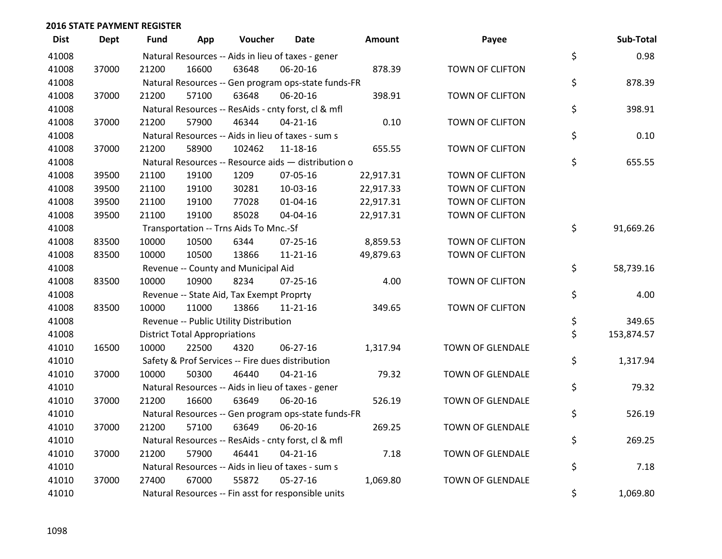| <b>Dist</b> | Dept  | Fund  | App                                  | Voucher                                             | Date           | Amount    | Payee            | Sub-Total        |
|-------------|-------|-------|--------------------------------------|-----------------------------------------------------|----------------|-----------|------------------|------------------|
| 41008       |       |       |                                      | Natural Resources -- Aids in lieu of taxes - gener  |                |           |                  | \$<br>0.98       |
| 41008       | 37000 | 21200 | 16600                                | 63648                                               | 06-20-16       | 878.39    | TOWN OF CLIFTON  |                  |
| 41008       |       |       |                                      | Natural Resources -- Gen program ops-state funds-FR |                |           |                  | \$<br>878.39     |
| 41008       | 37000 | 21200 | 57100                                | 63648                                               | 06-20-16       | 398.91    | TOWN OF CLIFTON  |                  |
| 41008       |       |       |                                      | Natural Resources -- ResAids - cnty forst, cl & mfl |                |           |                  | \$<br>398.91     |
| 41008       | 37000 | 21200 | 57900                                | 46344                                               | $04 - 21 - 16$ | 0.10      | TOWN OF CLIFTON  |                  |
| 41008       |       |       |                                      | Natural Resources -- Aids in lieu of taxes - sum s  |                |           |                  | \$<br>0.10       |
| 41008       | 37000 | 21200 | 58900                                | 102462                                              | $11 - 18 - 16$ | 655.55    | TOWN OF CLIFTON  |                  |
| 41008       |       |       |                                      | Natural Resources -- Resource aids - distribution o |                |           |                  | \$<br>655.55     |
| 41008       | 39500 | 21100 | 19100                                | 1209                                                | 07-05-16       | 22,917.31 | TOWN OF CLIFTON  |                  |
| 41008       | 39500 | 21100 | 19100                                | 30281                                               | 10-03-16       | 22,917.33 | TOWN OF CLIFTON  |                  |
| 41008       | 39500 | 21100 | 19100                                | 77028                                               | $01 - 04 - 16$ | 22,917.31 | TOWN OF CLIFTON  |                  |
| 41008       | 39500 | 21100 | 19100                                | 85028                                               | 04-04-16       | 22,917.31 | TOWN OF CLIFTON  |                  |
| 41008       |       |       |                                      | Transportation -- Trns Aids To Mnc.-Sf              |                |           |                  | \$<br>91,669.26  |
| 41008       | 83500 | 10000 | 10500                                | 6344                                                | $07 - 25 - 16$ | 8,859.53  | TOWN OF CLIFTON  |                  |
| 41008       | 83500 | 10000 | 10500                                | 13866                                               | 11-21-16       | 49,879.63 | TOWN OF CLIFTON  |                  |
| 41008       |       |       |                                      | Revenue -- County and Municipal Aid                 |                |           |                  | \$<br>58,739.16  |
| 41008       | 83500 | 10000 | 10900                                | 8234                                                | 07-25-16       | 4.00      | TOWN OF CLIFTON  |                  |
| 41008       |       |       |                                      | Revenue -- State Aid, Tax Exempt Proprty            |                |           |                  | \$<br>4.00       |
| 41008       | 83500 | 10000 | 11000                                | 13866                                               | 11-21-16       | 349.65    | TOWN OF CLIFTON  |                  |
| 41008       |       |       |                                      | Revenue -- Public Utility Distribution              |                |           |                  | \$<br>349.65     |
| 41008       |       |       | <b>District Total Appropriations</b> |                                                     |                |           |                  | \$<br>153,874.57 |
| 41010       | 16500 | 10000 | 22500                                | 4320                                                | 06-27-16       | 1,317.94  | TOWN OF GLENDALE |                  |
| 41010       |       |       |                                      | Safety & Prof Services -- Fire dues distribution    |                |           |                  | \$<br>1,317.94   |
| 41010       | 37000 | 10000 | 50300                                | 46440                                               | $04 - 21 - 16$ | 79.32     | TOWN OF GLENDALE |                  |
| 41010       |       |       |                                      | Natural Resources -- Aids in lieu of taxes - gener  |                |           |                  | \$<br>79.32      |
| 41010       | 37000 | 21200 | 16600                                | 63649                                               | 06-20-16       | 526.19    | TOWN OF GLENDALE |                  |
| 41010       |       |       |                                      | Natural Resources -- Gen program ops-state funds-FR |                |           |                  | \$<br>526.19     |
| 41010       | 37000 | 21200 | 57100                                | 63649                                               | 06-20-16       | 269.25    | TOWN OF GLENDALE |                  |
| 41010       |       |       |                                      | Natural Resources -- ResAids - cnty forst, cl & mfl |                |           |                  | \$<br>269.25     |
| 41010       | 37000 | 21200 | 57900                                | 46441                                               | $04 - 21 - 16$ | 7.18      | TOWN OF GLENDALE |                  |
| 41010       |       |       |                                      | Natural Resources -- Aids in lieu of taxes - sum s  |                |           |                  | \$<br>7.18       |
| 41010       | 37000 | 27400 | 67000                                | 55872                                               | $05 - 27 - 16$ | 1,069.80  | TOWN OF GLENDALE |                  |
| 41010       |       |       |                                      | Natural Resources -- Fin asst for responsible units |                |           |                  | \$<br>1,069.80   |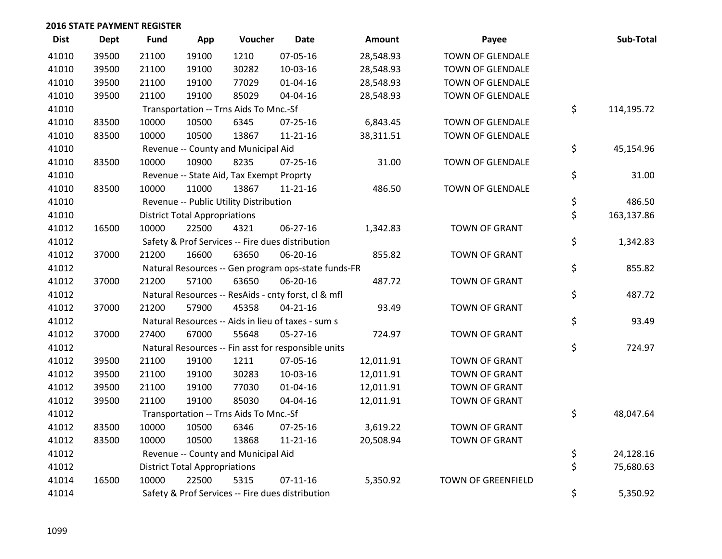| <b>Dist</b> | <b>Dept</b> | Fund  | App                                  | Voucher                                             | <b>Date</b>    | Amount    | Payee                     | Sub-Total        |
|-------------|-------------|-------|--------------------------------------|-----------------------------------------------------|----------------|-----------|---------------------------|------------------|
| 41010       | 39500       | 21100 | 19100                                | 1210                                                | 07-05-16       | 28,548.93 | TOWN OF GLENDALE          |                  |
| 41010       | 39500       | 21100 | 19100                                | 30282                                               | 10-03-16       | 28,548.93 | TOWN OF GLENDALE          |                  |
| 41010       | 39500       | 21100 | 19100                                | 77029                                               | 01-04-16       | 28,548.93 | TOWN OF GLENDALE          |                  |
| 41010       | 39500       | 21100 | 19100                                | 85029                                               | 04-04-16       | 28,548.93 | <b>TOWN OF GLENDALE</b>   |                  |
| 41010       |             |       |                                      | Transportation -- Trns Aids To Mnc.-Sf              |                |           |                           | \$<br>114,195.72 |
| 41010       | 83500       | 10000 | 10500                                | 6345                                                | 07-25-16       | 6,843.45  | TOWN OF GLENDALE          |                  |
| 41010       | 83500       | 10000 | 10500                                | 13867                                               | $11 - 21 - 16$ | 38,311.51 | TOWN OF GLENDALE          |                  |
| 41010       |             |       |                                      | Revenue -- County and Municipal Aid                 |                |           |                           | \$<br>45,154.96  |
| 41010       | 83500       | 10000 | 10900                                | 8235                                                | $07 - 25 - 16$ | 31.00     | TOWN OF GLENDALE          |                  |
| 41010       |             |       |                                      | Revenue -- State Aid, Tax Exempt Proprty            |                |           |                           | \$<br>31.00      |
| 41010       | 83500       | 10000 | 11000                                | 13867                                               | $11 - 21 - 16$ | 486.50    | TOWN OF GLENDALE          |                  |
| 41010       |             |       |                                      | Revenue -- Public Utility Distribution              |                |           |                           | \$<br>486.50     |
| 41010       |             |       | <b>District Total Appropriations</b> |                                                     |                |           |                           | \$<br>163,137.86 |
| 41012       | 16500       | 10000 | 22500                                | 4321                                                | 06-27-16       | 1,342.83  | <b>TOWN OF GRANT</b>      |                  |
| 41012       |             |       |                                      | Safety & Prof Services -- Fire dues distribution    |                |           |                           | \$<br>1,342.83   |
| 41012       | 37000       | 21200 | 16600                                | 63650                                               | 06-20-16       | 855.82    | <b>TOWN OF GRANT</b>      |                  |
| 41012       |             |       |                                      | Natural Resources -- Gen program ops-state funds-FR |                |           |                           | \$<br>855.82     |
| 41012       | 37000       | 21200 | 57100                                | 63650                                               | 06-20-16       | 487.72    | <b>TOWN OF GRANT</b>      |                  |
| 41012       |             |       |                                      | Natural Resources -- ResAids - cnty forst, cl & mfl |                |           |                           | \$<br>487.72     |
| 41012       | 37000       | 21200 | 57900                                | 45358                                               | $04 - 21 - 16$ | 93.49     | <b>TOWN OF GRANT</b>      |                  |
| 41012       |             |       |                                      | Natural Resources -- Aids in lieu of taxes - sum s  |                |           |                           | \$<br>93.49      |
| 41012       | 37000       | 27400 | 67000                                | 55648                                               | 05-27-16       | 724.97    | <b>TOWN OF GRANT</b>      |                  |
| 41012       |             |       |                                      | Natural Resources -- Fin asst for responsible units |                |           |                           | \$<br>724.97     |
| 41012       | 39500       | 21100 | 19100                                | 1211                                                | 07-05-16       | 12,011.91 | <b>TOWN OF GRANT</b>      |                  |
| 41012       | 39500       | 21100 | 19100                                | 30283                                               | 10-03-16       | 12,011.91 | <b>TOWN OF GRANT</b>      |                  |
| 41012       | 39500       | 21100 | 19100                                | 77030                                               | 01-04-16       | 12,011.91 | <b>TOWN OF GRANT</b>      |                  |
| 41012       | 39500       | 21100 | 19100                                | 85030                                               | 04-04-16       | 12,011.91 | <b>TOWN OF GRANT</b>      |                  |
| 41012       |             |       |                                      | Transportation -- Trns Aids To Mnc.-Sf              |                |           |                           | \$<br>48,047.64  |
| 41012       | 83500       | 10000 | 10500                                | 6346                                                | $07 - 25 - 16$ | 3,619.22  | <b>TOWN OF GRANT</b>      |                  |
| 41012       | 83500       | 10000 | 10500                                | 13868                                               | $11 - 21 - 16$ | 20,508.94 | <b>TOWN OF GRANT</b>      |                  |
| 41012       |             |       |                                      | Revenue -- County and Municipal Aid                 |                |           |                           | \$<br>24,128.16  |
| 41012       |             |       | <b>District Total Appropriations</b> |                                                     |                |           |                           | \$<br>75,680.63  |
| 41014       | 16500       | 10000 | 22500                                | 5315                                                | $07 - 11 - 16$ | 5,350.92  | <b>TOWN OF GREENFIELD</b> |                  |
| 41014       |             |       |                                      | Safety & Prof Services -- Fire dues distribution    |                |           |                           | \$<br>5,350.92   |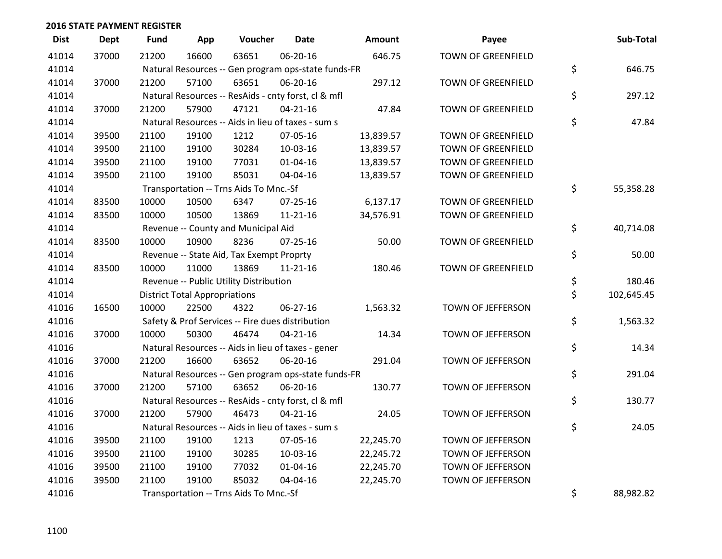| <b>Dist</b> | <b>Dept</b> | <b>Fund</b> | App                                  | Voucher                                             | <b>Date</b>    | Amount    | Payee                     | Sub-Total        |
|-------------|-------------|-------------|--------------------------------------|-----------------------------------------------------|----------------|-----------|---------------------------|------------------|
| 41014       | 37000       | 21200       | 16600                                | 63651                                               | 06-20-16       | 646.75    | <b>TOWN OF GREENFIELD</b> |                  |
| 41014       |             |             |                                      | Natural Resources -- Gen program ops-state funds-FR |                |           |                           | \$<br>646.75     |
| 41014       | 37000       | 21200       | 57100                                | 63651                                               | 06-20-16       | 297.12    | <b>TOWN OF GREENFIELD</b> |                  |
| 41014       |             |             |                                      | Natural Resources -- ResAids - cnty forst, cl & mfl |                |           |                           | \$<br>297.12     |
| 41014       | 37000       | 21200       | 57900                                | 47121                                               | $04 - 21 - 16$ | 47.84     | <b>TOWN OF GREENFIELD</b> |                  |
| 41014       |             |             |                                      | Natural Resources -- Aids in lieu of taxes - sum s  |                |           |                           | \$<br>47.84      |
| 41014       | 39500       | 21100       | 19100                                | 1212                                                | 07-05-16       | 13,839.57 | <b>TOWN OF GREENFIELD</b> |                  |
| 41014       | 39500       | 21100       | 19100                                | 30284                                               | 10-03-16       | 13,839.57 | <b>TOWN OF GREENFIELD</b> |                  |
| 41014       | 39500       | 21100       | 19100                                | 77031                                               | $01 - 04 - 16$ | 13,839.57 | <b>TOWN OF GREENFIELD</b> |                  |
| 41014       | 39500       | 21100       | 19100                                | 85031                                               | 04-04-16       | 13,839.57 | <b>TOWN OF GREENFIELD</b> |                  |
| 41014       |             |             |                                      | Transportation -- Trns Aids To Mnc.-Sf              |                |           |                           | \$<br>55,358.28  |
| 41014       | 83500       | 10000       | 10500                                | 6347                                                | $07 - 25 - 16$ | 6,137.17  | <b>TOWN OF GREENFIELD</b> |                  |
| 41014       | 83500       | 10000       | 10500                                | 13869                                               | $11 - 21 - 16$ | 34,576.91 | <b>TOWN OF GREENFIELD</b> |                  |
| 41014       |             |             |                                      | Revenue -- County and Municipal Aid                 |                |           |                           | \$<br>40,714.08  |
| 41014       | 83500       | 10000       | 10900                                | 8236                                                | $07 - 25 - 16$ | 50.00     | <b>TOWN OF GREENFIELD</b> |                  |
| 41014       |             |             |                                      | Revenue -- State Aid, Tax Exempt Proprty            |                |           |                           | \$<br>50.00      |
| 41014       | 83500       | 10000       | 11000                                | 13869                                               | $11 - 21 - 16$ | 180.46    | <b>TOWN OF GREENFIELD</b> |                  |
| 41014       |             |             |                                      | Revenue -- Public Utility Distribution              |                |           |                           | \$<br>180.46     |
| 41014       |             |             | <b>District Total Appropriations</b> |                                                     |                |           |                           | \$<br>102,645.45 |
| 41016       | 16500       | 10000       | 22500                                | 4322                                                | 06-27-16       | 1,563.32  | TOWN OF JEFFERSON         |                  |
| 41016       |             |             |                                      | Safety & Prof Services -- Fire dues distribution    |                |           |                           | \$<br>1,563.32   |
| 41016       | 37000       | 10000       | 50300                                | 46474                                               | $04 - 21 - 16$ | 14.34     | TOWN OF JEFFERSON         |                  |
| 41016       |             |             |                                      | Natural Resources -- Aids in lieu of taxes - gener  |                |           |                           | \$<br>14.34      |
| 41016       | 37000       | 21200       | 16600                                | 63652                                               | 06-20-16       | 291.04    | TOWN OF JEFFERSON         |                  |
| 41016       |             |             |                                      | Natural Resources -- Gen program ops-state funds-FR |                |           |                           | \$<br>291.04     |
| 41016       | 37000       | 21200       | 57100                                | 63652                                               | 06-20-16       | 130.77    | TOWN OF JEFFERSON         |                  |
| 41016       |             |             |                                      | Natural Resources -- ResAids - cnty forst, cl & mfl |                |           |                           | \$<br>130.77     |
| 41016       | 37000       | 21200       | 57900                                | 46473                                               | $04 - 21 - 16$ | 24.05     | TOWN OF JEFFERSON         |                  |
| 41016       |             |             |                                      | Natural Resources -- Aids in lieu of taxes - sum s  |                |           |                           | \$<br>24.05      |
| 41016       | 39500       | 21100       | 19100                                | 1213                                                | 07-05-16       | 22,245.70 | TOWN OF JEFFERSON         |                  |
| 41016       | 39500       | 21100       | 19100                                | 30285                                               | 10-03-16       | 22,245.72 | TOWN OF JEFFERSON         |                  |
| 41016       | 39500       | 21100       | 19100                                | 77032                                               | $01 - 04 - 16$ | 22,245.70 | TOWN OF JEFFERSON         |                  |
| 41016       | 39500       | 21100       | 19100                                | 85032                                               | 04-04-16       | 22,245.70 | TOWN OF JEFFERSON         |                  |
| 41016       |             |             |                                      | Transportation -- Trns Aids To Mnc.-Sf              |                |           |                           | \$<br>88,982.82  |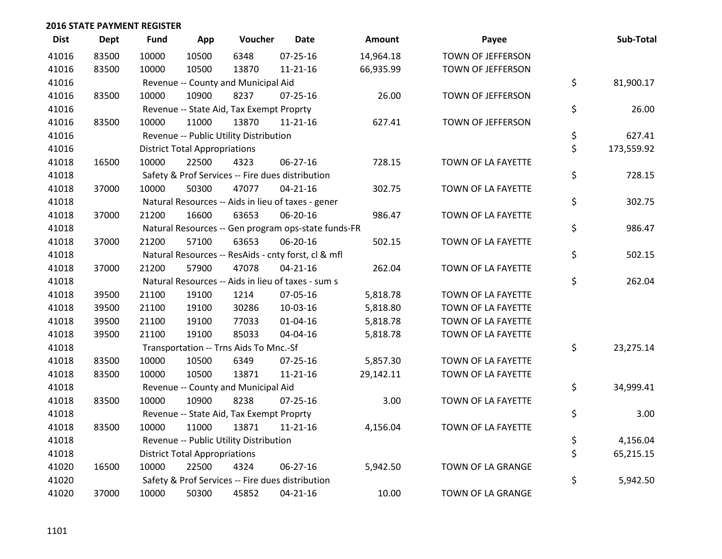| <b>Dist</b> | <b>Dept</b> | <b>Fund</b> | App                                  | Voucher                                          | <b>Date</b>                                         | <b>Amount</b> | Payee              | Sub-Total        |
|-------------|-------------|-------------|--------------------------------------|--------------------------------------------------|-----------------------------------------------------|---------------|--------------------|------------------|
| 41016       | 83500       | 10000       | 10500                                | 6348                                             | $07 - 25 - 16$                                      | 14,964.18     | TOWN OF JEFFERSON  |                  |
| 41016       | 83500       | 10000       | 10500                                | 13870                                            | 11-21-16                                            | 66,935.99     | TOWN OF JEFFERSON  |                  |
| 41016       |             |             |                                      | Revenue -- County and Municipal Aid              |                                                     |               |                    | \$<br>81,900.17  |
| 41016       | 83500       | 10000       | 10900                                | 8237                                             | $07 - 25 - 16$                                      | 26.00         | TOWN OF JEFFERSON  |                  |
| 41016       |             |             |                                      | Revenue -- State Aid, Tax Exempt Proprty         |                                                     |               |                    | \$<br>26.00      |
| 41016       | 83500       | 10000       | 11000                                | 13870                                            | 11-21-16                                            | 627.41        | TOWN OF JEFFERSON  |                  |
| 41016       |             |             |                                      | Revenue -- Public Utility Distribution           |                                                     |               |                    | \$<br>627.41     |
| 41016       |             |             | <b>District Total Appropriations</b> |                                                  |                                                     |               |                    | \$<br>173,559.92 |
| 41018       | 16500       | 10000       | 22500                                | 4323                                             | $06 - 27 - 16$                                      | 728.15        | TOWN OF LA FAYETTE |                  |
| 41018       |             |             |                                      | Safety & Prof Services -- Fire dues distribution |                                                     |               |                    | \$<br>728.15     |
| 41018       | 37000       | 10000       | 50300                                | 47077                                            | $04 - 21 - 16$                                      | 302.75        | TOWN OF LA FAYETTE |                  |
| 41018       |             |             |                                      |                                                  | Natural Resources -- Aids in lieu of taxes - gener  |               |                    | \$<br>302.75     |
| 41018       | 37000       | 21200       | 16600                                | 63653                                            | 06-20-16                                            | 986.47        | TOWN OF LA FAYETTE |                  |
| 41018       |             |             |                                      |                                                  | Natural Resources -- Gen program ops-state funds-FR |               |                    | \$<br>986.47     |
| 41018       | 37000       | 21200       | 57100                                | 63653                                            | 06-20-16                                            | 502.15        | TOWN OF LA FAYETTE |                  |
| 41018       |             |             |                                      |                                                  | Natural Resources -- ResAids - cnty forst, cl & mfl |               |                    | \$<br>502.15     |
| 41018       | 37000       | 21200       | 57900                                | 47078                                            | $04 - 21 - 16$                                      | 262.04        | TOWN OF LA FAYETTE |                  |
| 41018       |             |             |                                      |                                                  | Natural Resources -- Aids in lieu of taxes - sum s  |               |                    | \$<br>262.04     |
| 41018       | 39500       | 21100       | 19100                                | 1214                                             | 07-05-16                                            | 5,818.78      | TOWN OF LA FAYETTE |                  |
| 41018       | 39500       | 21100       | 19100                                | 30286                                            | 10-03-16                                            | 5,818.80      | TOWN OF LA FAYETTE |                  |
| 41018       | 39500       | 21100       | 19100                                | 77033                                            | $01 - 04 - 16$                                      | 5,818.78      | TOWN OF LA FAYETTE |                  |
| 41018       | 39500       | 21100       | 19100                                | 85033                                            | 04-04-16                                            | 5,818.78      | TOWN OF LA FAYETTE |                  |
| 41018       |             |             |                                      | Transportation -- Trns Aids To Mnc.-Sf           |                                                     |               |                    | \$<br>23,275.14  |
| 41018       | 83500       | 10000       | 10500                                | 6349                                             | $07 - 25 - 16$                                      | 5,857.30      | TOWN OF LA FAYETTE |                  |
| 41018       | 83500       | 10000       | 10500                                | 13871                                            | $11 - 21 - 16$                                      | 29,142.11     | TOWN OF LA FAYETTE |                  |
| 41018       |             |             |                                      | Revenue -- County and Municipal Aid              |                                                     |               |                    | \$<br>34,999.41  |
| 41018       | 83500       | 10000       | 10900                                | 8238                                             | $07 - 25 - 16$                                      | 3.00          | TOWN OF LA FAYETTE |                  |
| 41018       |             |             |                                      | Revenue -- State Aid, Tax Exempt Proprty         |                                                     |               |                    | \$<br>3.00       |
| 41018       | 83500       | 10000       | 11000                                | 13871                                            | $11 - 21 - 16$                                      | 4,156.04      | TOWN OF LA FAYETTE |                  |
| 41018       |             |             |                                      | Revenue -- Public Utility Distribution           |                                                     |               |                    | \$<br>4,156.04   |
| 41018       |             |             | <b>District Total Appropriations</b> |                                                  |                                                     |               |                    | \$<br>65,215.15  |
| 41020       | 16500       | 10000       | 22500                                | 4324                                             | 06-27-16                                            | 5,942.50      | TOWN OF LA GRANGE  |                  |
| 41020       |             |             |                                      | Safety & Prof Services -- Fire dues distribution |                                                     |               |                    | \$<br>5,942.50   |
| 41020       | 37000       | 10000       | 50300                                | 45852                                            | $04 - 21 - 16$                                      | 10.00         | TOWN OF LA GRANGE  |                  |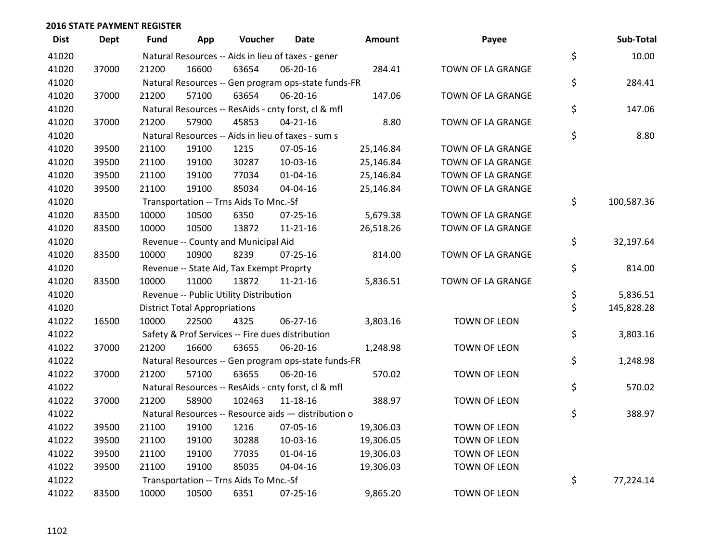| <b>Dist</b> | <b>Dept</b> | <b>Fund</b> | App                                  | Voucher                                             | <b>Date</b>    | Amount    | Payee               | Sub-Total        |
|-------------|-------------|-------------|--------------------------------------|-----------------------------------------------------|----------------|-----------|---------------------|------------------|
| 41020       |             |             |                                      | Natural Resources -- Aids in lieu of taxes - gener  |                |           |                     | \$<br>10.00      |
| 41020       | 37000       | 21200       | 16600                                | 63654                                               | 06-20-16       | 284.41    | TOWN OF LA GRANGE   |                  |
| 41020       |             |             |                                      | Natural Resources -- Gen program ops-state funds-FR |                |           |                     | \$<br>284.41     |
| 41020       | 37000       | 21200       | 57100                                | 63654                                               | 06-20-16       | 147.06    | TOWN OF LA GRANGE   |                  |
| 41020       |             |             |                                      | Natural Resources -- ResAids - cnty forst, cl & mfl |                |           |                     | \$<br>147.06     |
| 41020       | 37000       | 21200       | 57900                                | 45853                                               | $04 - 21 - 16$ | 8.80      | TOWN OF LA GRANGE   |                  |
| 41020       |             |             |                                      | Natural Resources -- Aids in lieu of taxes - sum s  |                |           |                     | \$<br>8.80       |
| 41020       | 39500       | 21100       | 19100                                | 1215                                                | 07-05-16       | 25,146.84 | TOWN OF LA GRANGE   |                  |
| 41020       | 39500       | 21100       | 19100                                | 30287                                               | 10-03-16       | 25,146.84 | TOWN OF LA GRANGE   |                  |
| 41020       | 39500       | 21100       | 19100                                | 77034                                               | 01-04-16       | 25,146.84 | TOWN OF LA GRANGE   |                  |
| 41020       | 39500       | 21100       | 19100                                | 85034                                               | 04-04-16       | 25,146.84 | TOWN OF LA GRANGE   |                  |
| 41020       |             |             |                                      | Transportation -- Trns Aids To Mnc.-Sf              |                |           |                     | \$<br>100,587.36 |
| 41020       | 83500       | 10000       | 10500                                | 6350                                                | $07 - 25 - 16$ | 5,679.38  | TOWN OF LA GRANGE   |                  |
| 41020       | 83500       | 10000       | 10500                                | 13872                                               | $11 - 21 - 16$ | 26,518.26 | TOWN OF LA GRANGE   |                  |
| 41020       |             |             |                                      | Revenue -- County and Municipal Aid                 |                |           |                     | \$<br>32,197.64  |
| 41020       | 83500       | 10000       | 10900                                | 8239                                                | $07 - 25 - 16$ | 814.00    | TOWN OF LA GRANGE   |                  |
| 41020       |             |             |                                      | Revenue -- State Aid, Tax Exempt Proprty            |                |           |                     | \$<br>814.00     |
| 41020       | 83500       | 10000       | 11000                                | 13872                                               | $11 - 21 - 16$ | 5,836.51  | TOWN OF LA GRANGE   |                  |
| 41020       |             |             |                                      | Revenue -- Public Utility Distribution              |                |           |                     | \$<br>5,836.51   |
| 41020       |             |             | <b>District Total Appropriations</b> |                                                     |                |           |                     | \$<br>145,828.28 |
| 41022       | 16500       | 10000       | 22500                                | 4325                                                | 06-27-16       | 3,803.16  | <b>TOWN OF LEON</b> |                  |
| 41022       |             |             |                                      | Safety & Prof Services -- Fire dues distribution    |                |           |                     | \$<br>3,803.16   |
| 41022       | 37000       | 21200       | 16600                                | 63655                                               | 06-20-16       | 1,248.98  | <b>TOWN OF LEON</b> |                  |
| 41022       |             |             |                                      | Natural Resources -- Gen program ops-state funds-FR |                |           |                     | \$<br>1,248.98   |
| 41022       | 37000       | 21200       | 57100                                | 63655                                               | 06-20-16       | 570.02    | <b>TOWN OF LEON</b> |                  |
| 41022       |             |             |                                      | Natural Resources -- ResAids - cnty forst, cl & mfl |                |           |                     | \$<br>570.02     |
| 41022       | 37000       | 21200       | 58900                                | 102463                                              | 11-18-16       | 388.97    | TOWN OF LEON        |                  |
| 41022       |             |             |                                      | Natural Resources -- Resource aids - distribution o |                |           |                     | \$<br>388.97     |
| 41022       | 39500       | 21100       | 19100                                | 1216                                                | 07-05-16       | 19,306.03 | <b>TOWN OF LEON</b> |                  |
| 41022       | 39500       | 21100       | 19100                                | 30288                                               | 10-03-16       | 19,306.05 | TOWN OF LEON        |                  |
| 41022       | 39500       | 21100       | 19100                                | 77035                                               | 01-04-16       | 19,306.03 | TOWN OF LEON        |                  |
| 41022       | 39500       | 21100       | 19100                                | 85035                                               | 04-04-16       | 19,306.03 | TOWN OF LEON        |                  |
| 41022       |             |             |                                      | Transportation -- Trns Aids To Mnc.-Sf              |                |           |                     | \$<br>77,224.14  |
| 41022       | 83500       | 10000       | 10500                                | 6351                                                | 07-25-16       | 9,865.20  | <b>TOWN OF LEON</b> |                  |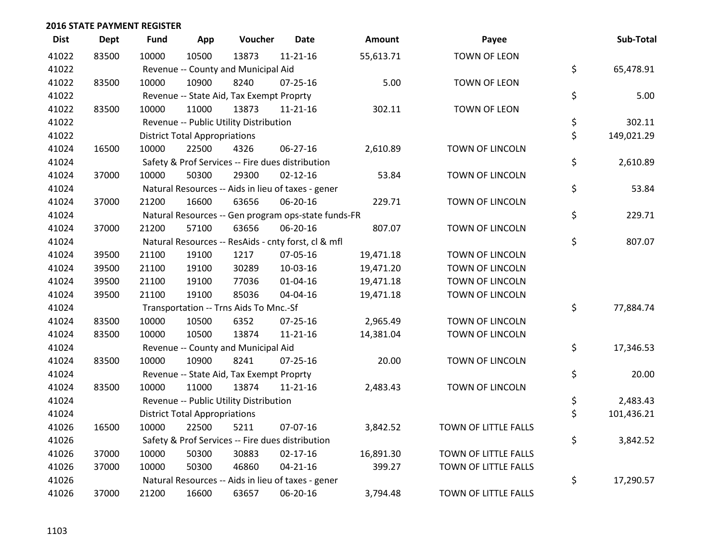| <b>Dist</b> | <b>Dept</b> | <b>Fund</b> | App                                  | Voucher                                             | <b>Date</b>    | <b>Amount</b> | Payee                  | Sub-Total        |
|-------------|-------------|-------------|--------------------------------------|-----------------------------------------------------|----------------|---------------|------------------------|------------------|
| 41022       | 83500       | 10000       | 10500                                | 13873                                               | $11 - 21 - 16$ | 55,613.71     | <b>TOWN OF LEON</b>    |                  |
| 41022       |             |             |                                      | Revenue -- County and Municipal Aid                 |                |               |                        | \$<br>65,478.91  |
| 41022       | 83500       | 10000       | 10900                                | 8240                                                | $07 - 25 - 16$ | 5.00          | <b>TOWN OF LEON</b>    |                  |
| 41022       |             |             |                                      | Revenue -- State Aid, Tax Exempt Proprty            |                |               |                        | \$<br>5.00       |
| 41022       | 83500       | 10000       | 11000                                | 13873                                               | $11 - 21 - 16$ | 302.11        | <b>TOWN OF LEON</b>    |                  |
| 41022       |             |             |                                      | Revenue -- Public Utility Distribution              |                |               |                        | \$<br>302.11     |
| 41022       |             |             | <b>District Total Appropriations</b> |                                                     |                |               |                        | \$<br>149,021.29 |
| 41024       | 16500       | 10000       | 22500                                | 4326                                                | 06-27-16       | 2,610.89      | <b>TOWN OF LINCOLN</b> |                  |
| 41024       |             |             |                                      | Safety & Prof Services -- Fire dues distribution    |                |               |                        | \$<br>2,610.89   |
| 41024       | 37000       | 10000       | 50300                                | 29300                                               | $02 - 12 - 16$ | 53.84         | TOWN OF LINCOLN        |                  |
| 41024       |             |             |                                      | Natural Resources -- Aids in lieu of taxes - gener  |                |               |                        | \$<br>53.84      |
| 41024       | 37000       | 21200       | 16600                                | 63656                                               | 06-20-16       | 229.71        | TOWN OF LINCOLN        |                  |
| 41024       |             |             |                                      | Natural Resources -- Gen program ops-state funds-FR |                |               |                        | \$<br>229.71     |
| 41024       | 37000       | 21200       | 57100                                | 63656                                               | 06-20-16       | 807.07        | TOWN OF LINCOLN        |                  |
| 41024       |             |             |                                      | Natural Resources -- ResAids - cnty forst, cl & mfl |                |               |                        | \$<br>807.07     |
| 41024       | 39500       | 21100       | 19100                                | 1217                                                | 07-05-16       | 19,471.18     | TOWN OF LINCOLN        |                  |
| 41024       | 39500       | 21100       | 19100                                | 30289                                               | 10-03-16       | 19,471.20     | TOWN OF LINCOLN        |                  |
| 41024       | 39500       | 21100       | 19100                                | 77036                                               | $01 - 04 - 16$ | 19,471.18     | <b>TOWN OF LINCOLN</b> |                  |
| 41024       | 39500       | 21100       | 19100                                | 85036                                               | 04-04-16       | 19,471.18     | TOWN OF LINCOLN        |                  |
| 41024       |             |             |                                      | Transportation -- Trns Aids To Mnc.-Sf              |                |               |                        | \$<br>77,884.74  |
| 41024       | 83500       | 10000       | 10500                                | 6352                                                | 07-25-16       | 2,965.49      | TOWN OF LINCOLN        |                  |
| 41024       | 83500       | 10000       | 10500                                | 13874                                               | 11-21-16       | 14,381.04     | TOWN OF LINCOLN        |                  |
| 41024       |             |             |                                      | Revenue -- County and Municipal Aid                 |                |               |                        | \$<br>17,346.53  |
| 41024       | 83500       | 10000       | 10900                                | 8241                                                | $07 - 25 - 16$ | 20.00         | TOWN OF LINCOLN        |                  |
| 41024       |             |             |                                      | Revenue -- State Aid, Tax Exempt Proprty            |                |               |                        | \$<br>20.00      |
| 41024       | 83500       | 10000       | 11000                                | 13874                                               | $11 - 21 - 16$ | 2,483.43      | TOWN OF LINCOLN        |                  |
| 41024       |             |             |                                      | Revenue -- Public Utility Distribution              |                |               |                        | \$<br>2,483.43   |
| 41024       |             |             | <b>District Total Appropriations</b> |                                                     |                |               |                        | \$<br>101,436.21 |
| 41026       | 16500       | 10000       | 22500                                | 5211                                                | 07-07-16       | 3,842.52      | TOWN OF LITTLE FALLS   |                  |
| 41026       |             |             |                                      | Safety & Prof Services -- Fire dues distribution    |                |               |                        | \$<br>3,842.52   |
| 41026       | 37000       | 10000       | 50300                                | 30883                                               | $02 - 17 - 16$ | 16,891.30     | TOWN OF LITTLE FALLS   |                  |
| 41026       | 37000       | 10000       | 50300                                | 46860                                               | $04 - 21 - 16$ | 399.27        | TOWN OF LITTLE FALLS   |                  |
| 41026       |             |             |                                      | Natural Resources -- Aids in lieu of taxes - gener  |                |               |                        | \$<br>17,290.57  |
| 41026       | 37000       | 21200       | 16600                                | 63657                                               | 06-20-16       | 3,794.48      | TOWN OF LITTLE FALLS   |                  |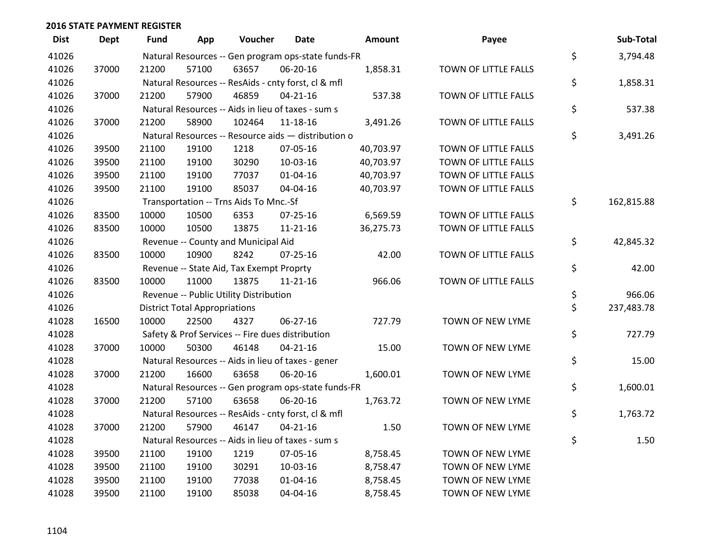| <b>Dist</b> | <b>Dept</b> | <b>Fund</b> | App                                  | Voucher                                             | <b>Date</b>    | Amount    | Payee                | Sub-Total        |
|-------------|-------------|-------------|--------------------------------------|-----------------------------------------------------|----------------|-----------|----------------------|------------------|
| 41026       |             |             |                                      | Natural Resources -- Gen program ops-state funds-FR |                |           |                      | \$<br>3,794.48   |
| 41026       | 37000       | 21200       | 57100                                | 63657                                               | 06-20-16       | 1,858.31  | TOWN OF LITTLE FALLS |                  |
| 41026       |             |             |                                      | Natural Resources -- ResAids - cnty forst, cl & mfl |                |           |                      | \$<br>1,858.31   |
| 41026       | 37000       | 21200       | 57900                                | 46859                                               | $04 - 21 - 16$ | 537.38    | TOWN OF LITTLE FALLS |                  |
| 41026       |             |             |                                      | Natural Resources -- Aids in lieu of taxes - sum s  |                |           |                      | \$<br>537.38     |
| 41026       | 37000       | 21200       | 58900                                | 102464                                              | $11 - 18 - 16$ | 3,491.26  | TOWN OF LITTLE FALLS |                  |
| 41026       |             |             |                                      | Natural Resources -- Resource aids - distribution o |                |           |                      | \$<br>3,491.26   |
| 41026       | 39500       | 21100       | 19100                                | 1218                                                | 07-05-16       | 40,703.97 | TOWN OF LITTLE FALLS |                  |
| 41026       | 39500       | 21100       | 19100                                | 30290                                               | 10-03-16       | 40,703.97 | TOWN OF LITTLE FALLS |                  |
| 41026       | 39500       | 21100       | 19100                                | 77037                                               | $01 - 04 - 16$ | 40,703.97 | TOWN OF LITTLE FALLS |                  |
| 41026       | 39500       | 21100       | 19100                                | 85037                                               | 04-04-16       | 40,703.97 | TOWN OF LITTLE FALLS |                  |
| 41026       |             |             |                                      | Transportation -- Trns Aids To Mnc.-Sf              |                |           |                      | \$<br>162,815.88 |
| 41026       | 83500       | 10000       | 10500                                | 6353                                                | 07-25-16       | 6,569.59  | TOWN OF LITTLE FALLS |                  |
| 41026       | 83500       | 10000       | 10500                                | 13875                                               | $11 - 21 - 16$ | 36,275.73 | TOWN OF LITTLE FALLS |                  |
| 41026       |             |             |                                      | Revenue -- County and Municipal Aid                 |                |           |                      | \$<br>42,845.32  |
| 41026       | 83500       | 10000       | 10900                                | 8242                                                | $07 - 25 - 16$ | 42.00     | TOWN OF LITTLE FALLS |                  |
| 41026       |             |             |                                      | Revenue -- State Aid, Tax Exempt Proprty            |                |           |                      | \$<br>42.00      |
| 41026       | 83500       | 10000       | 11000                                | 13875                                               | $11 - 21 - 16$ | 966.06    | TOWN OF LITTLE FALLS |                  |
| 41026       |             |             |                                      | Revenue -- Public Utility Distribution              |                |           |                      | \$<br>966.06     |
| 41026       |             |             | <b>District Total Appropriations</b> |                                                     |                |           |                      | \$<br>237,483.78 |
| 41028       | 16500       | 10000       | 22500                                | 4327                                                | 06-27-16       | 727.79    | TOWN OF NEW LYME     |                  |
| 41028       |             |             |                                      | Safety & Prof Services -- Fire dues distribution    |                |           |                      | \$<br>727.79     |
| 41028       | 37000       | 10000       | 50300                                | 46148                                               | $04 - 21 - 16$ | 15.00     | TOWN OF NEW LYME     |                  |
| 41028       |             |             |                                      | Natural Resources -- Aids in lieu of taxes - gener  |                |           |                      | \$<br>15.00      |
| 41028       | 37000       | 21200       | 16600                                | 63658                                               | 06-20-16       | 1,600.01  | TOWN OF NEW LYME     |                  |
| 41028       |             |             |                                      | Natural Resources -- Gen program ops-state funds-FR |                |           |                      | \$<br>1,600.01   |
| 41028       | 37000       | 21200       | 57100                                | 63658                                               | 06-20-16       | 1,763.72  | TOWN OF NEW LYME     |                  |
| 41028       |             |             |                                      | Natural Resources -- ResAids - cnty forst, cl & mfl |                |           |                      | \$<br>1,763.72   |
| 41028       | 37000       | 21200       | 57900                                | 46147                                               | $04 - 21 - 16$ | 1.50      | TOWN OF NEW LYME     |                  |
| 41028       |             |             |                                      | Natural Resources -- Aids in lieu of taxes - sum s  |                |           |                      | \$<br>1.50       |
| 41028       | 39500       | 21100       | 19100                                | 1219                                                | 07-05-16       | 8,758.45  | TOWN OF NEW LYME     |                  |
| 41028       | 39500       | 21100       | 19100                                | 30291                                               | 10-03-16       | 8,758.47  | TOWN OF NEW LYME     |                  |
| 41028       | 39500       | 21100       | 19100                                | 77038                                               | $01 - 04 - 16$ | 8,758.45  | TOWN OF NEW LYME     |                  |
| 41028       | 39500       | 21100       | 19100                                | 85038                                               | 04-04-16       | 8,758.45  | TOWN OF NEW LYME     |                  |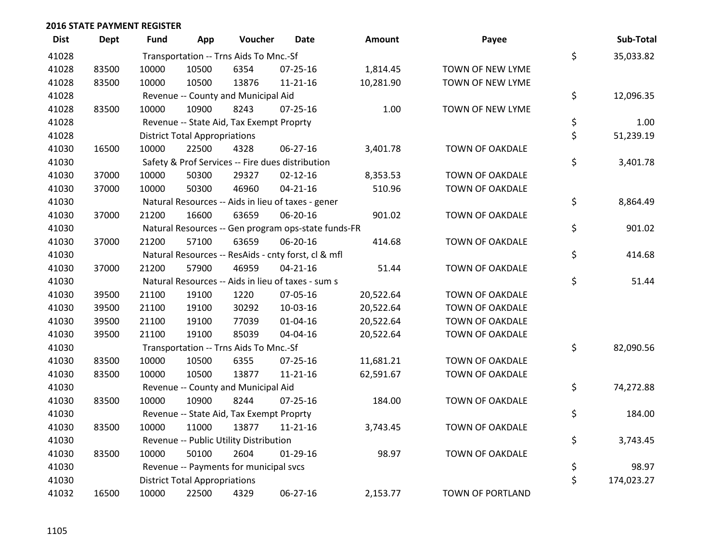| <b>Dist</b> | Dept  | Fund  | App                                  | Voucher                                  | <b>Date</b>                                         | <b>Amount</b> | Payee                  | Sub-Total        |
|-------------|-------|-------|--------------------------------------|------------------------------------------|-----------------------------------------------------|---------------|------------------------|------------------|
| 41028       |       |       |                                      | Transportation -- Trns Aids To Mnc.-Sf   |                                                     |               |                        | \$<br>35,033.82  |
| 41028       | 83500 | 10000 | 10500                                | 6354                                     | 07-25-16                                            | 1,814.45      | TOWN OF NEW LYME       |                  |
| 41028       | 83500 | 10000 | 10500                                | 13876                                    | $11 - 21 - 16$                                      | 10,281.90     | TOWN OF NEW LYME       |                  |
| 41028       |       |       |                                      | Revenue -- County and Municipal Aid      |                                                     |               |                        | \$<br>12,096.35  |
| 41028       | 83500 | 10000 | 10900                                | 8243                                     | $07 - 25 - 16$                                      | 1.00          | TOWN OF NEW LYME       |                  |
| 41028       |       |       |                                      | Revenue -- State Aid, Tax Exempt Proprty |                                                     |               |                        | \$<br>1.00       |
| 41028       |       |       | <b>District Total Appropriations</b> |                                          |                                                     |               |                        | \$<br>51,239.19  |
| 41030       | 16500 | 10000 | 22500                                | 4328                                     | 06-27-16                                            | 3,401.78      | TOWN OF OAKDALE        |                  |
| 41030       |       |       |                                      |                                          | Safety & Prof Services -- Fire dues distribution    |               |                        | \$<br>3,401.78   |
| 41030       | 37000 | 10000 | 50300                                | 29327                                    | $02 - 12 - 16$                                      | 8,353.53      | TOWN OF OAKDALE        |                  |
| 41030       | 37000 | 10000 | 50300                                | 46960                                    | $04 - 21 - 16$                                      | 510.96        | TOWN OF OAKDALE        |                  |
| 41030       |       |       |                                      |                                          | Natural Resources -- Aids in lieu of taxes - gener  |               |                        | \$<br>8,864.49   |
| 41030       | 37000 | 21200 | 16600                                | 63659                                    | 06-20-16                                            | 901.02        | <b>TOWN OF OAKDALE</b> |                  |
| 41030       |       |       |                                      |                                          | Natural Resources -- Gen program ops-state funds-FR |               |                        | \$<br>901.02     |
| 41030       | 37000 | 21200 | 57100                                | 63659                                    | 06-20-16                                            | 414.68        | TOWN OF OAKDALE        |                  |
| 41030       |       |       |                                      |                                          | Natural Resources -- ResAids - cnty forst, cl & mfl |               |                        | \$<br>414.68     |
| 41030       | 37000 | 21200 | 57900                                | 46959                                    | $04 - 21 - 16$                                      | 51.44         | TOWN OF OAKDALE        |                  |
| 41030       |       |       |                                      |                                          | Natural Resources -- Aids in lieu of taxes - sum s  |               |                        | \$<br>51.44      |
| 41030       | 39500 | 21100 | 19100                                | 1220                                     | 07-05-16                                            | 20,522.64     | TOWN OF OAKDALE        |                  |
| 41030       | 39500 | 21100 | 19100                                | 30292                                    | 10-03-16                                            | 20,522.64     | TOWN OF OAKDALE        |                  |
| 41030       | 39500 | 21100 | 19100                                | 77039                                    | $01 - 04 - 16$                                      | 20,522.64     | TOWN OF OAKDALE        |                  |
| 41030       | 39500 | 21100 | 19100                                | 85039                                    | 04-04-16                                            | 20,522.64     | TOWN OF OAKDALE        |                  |
| 41030       |       |       |                                      | Transportation -- Trns Aids To Mnc.-Sf   |                                                     |               |                        | \$<br>82,090.56  |
| 41030       | 83500 | 10000 | 10500                                | 6355                                     | $07 - 25 - 16$                                      | 11,681.21     | TOWN OF OAKDALE        |                  |
| 41030       | 83500 | 10000 | 10500                                | 13877                                    | $11 - 21 - 16$                                      | 62,591.67     | TOWN OF OAKDALE        |                  |
| 41030       |       |       |                                      | Revenue -- County and Municipal Aid      |                                                     |               |                        | \$<br>74,272.88  |
| 41030       | 83500 | 10000 | 10900                                | 8244                                     | $07 - 25 - 16$                                      | 184.00        | <b>TOWN OF OAKDALE</b> |                  |
| 41030       |       |       |                                      | Revenue -- State Aid, Tax Exempt Proprty |                                                     |               |                        | \$<br>184.00     |
| 41030       | 83500 | 10000 | 11000                                | 13877                                    | $11 - 21 - 16$                                      | 3,743.45      | TOWN OF OAKDALE        |                  |
| 41030       |       |       |                                      | Revenue -- Public Utility Distribution   |                                                     |               |                        | \$<br>3,743.45   |
| 41030       | 83500 | 10000 | 50100                                | 2604                                     | $01-29-16$                                          | 98.97         | <b>TOWN OF OAKDALE</b> |                  |
| 41030       |       |       |                                      | Revenue -- Payments for municipal svcs   |                                                     |               |                        | \$<br>98.97      |
| 41030       |       |       | <b>District Total Appropriations</b> |                                          |                                                     |               |                        | \$<br>174,023.27 |
| 41032       | 16500 | 10000 | 22500                                | 4329                                     | 06-27-16                                            | 2,153.77      | TOWN OF PORTLAND       |                  |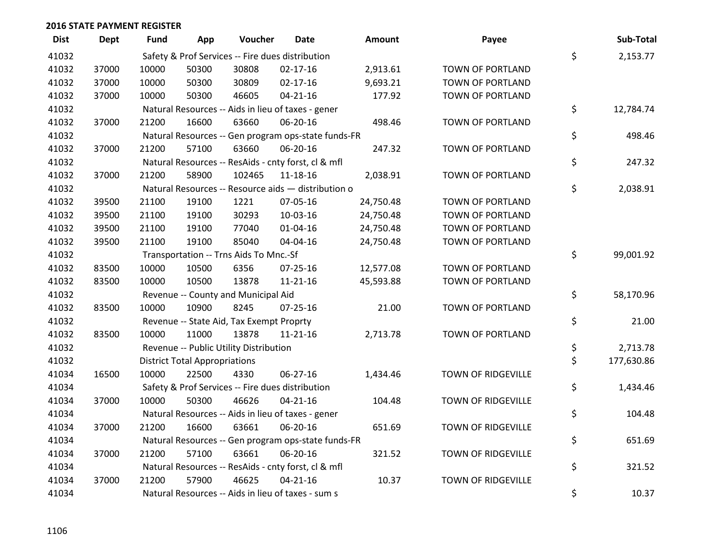| <b>Dist</b> | <b>Dept</b> | Fund  | App                                  | Voucher                                  | <b>Date</b>                                         | Amount    | Payee                     | Sub-Total        |
|-------------|-------------|-------|--------------------------------------|------------------------------------------|-----------------------------------------------------|-----------|---------------------------|------------------|
| 41032       |             |       |                                      |                                          | Safety & Prof Services -- Fire dues distribution    |           |                           | \$<br>2,153.77   |
| 41032       | 37000       | 10000 | 50300                                | 30808                                    | $02 - 17 - 16$                                      | 2,913.61  | TOWN OF PORTLAND          |                  |
| 41032       | 37000       | 10000 | 50300                                | 30809                                    | $02 - 17 - 16$                                      | 9,693.21  | TOWN OF PORTLAND          |                  |
| 41032       | 37000       | 10000 | 50300                                | 46605                                    | $04 - 21 - 16$                                      | 177.92    | TOWN OF PORTLAND          |                  |
| 41032       |             |       |                                      |                                          | Natural Resources -- Aids in lieu of taxes - gener  |           |                           | \$<br>12,784.74  |
| 41032       | 37000       | 21200 | 16600                                | 63660                                    | 06-20-16                                            | 498.46    | TOWN OF PORTLAND          |                  |
| 41032       |             |       |                                      |                                          | Natural Resources -- Gen program ops-state funds-FR |           |                           | \$<br>498.46     |
| 41032       | 37000       | 21200 | 57100                                | 63660                                    | 06-20-16                                            | 247.32    | TOWN OF PORTLAND          |                  |
| 41032       |             |       |                                      |                                          | Natural Resources -- ResAids - cnty forst, cl & mfl |           |                           | \$<br>247.32     |
| 41032       | 37000       | 21200 | 58900                                | 102465                                   | 11-18-16                                            | 2,038.91  | TOWN OF PORTLAND          |                  |
| 41032       |             |       |                                      |                                          | Natural Resources -- Resource aids - distribution o |           |                           | \$<br>2,038.91   |
| 41032       | 39500       | 21100 | 19100                                | 1221                                     | 07-05-16                                            | 24,750.48 | TOWN OF PORTLAND          |                  |
| 41032       | 39500       | 21100 | 19100                                | 30293                                    | 10-03-16                                            | 24,750.48 | TOWN OF PORTLAND          |                  |
| 41032       | 39500       | 21100 | 19100                                | 77040                                    | $01 - 04 - 16$                                      | 24,750.48 | TOWN OF PORTLAND          |                  |
| 41032       | 39500       | 21100 | 19100                                | 85040                                    | 04-04-16                                            | 24,750.48 | TOWN OF PORTLAND          |                  |
| 41032       |             |       |                                      | Transportation -- Trns Aids To Mnc.-Sf   |                                                     |           |                           | \$<br>99,001.92  |
| 41032       | 83500       | 10000 | 10500                                | 6356                                     | $07 - 25 - 16$                                      | 12,577.08 | TOWN OF PORTLAND          |                  |
| 41032       | 83500       | 10000 | 10500                                | 13878                                    | $11 - 21 - 16$                                      | 45,593.88 | TOWN OF PORTLAND          |                  |
| 41032       |             |       |                                      | Revenue -- County and Municipal Aid      |                                                     |           |                           | \$<br>58,170.96  |
| 41032       | 83500       | 10000 | 10900                                | 8245                                     | $07 - 25 - 16$                                      | 21.00     | TOWN OF PORTLAND          |                  |
| 41032       |             |       |                                      | Revenue -- State Aid, Tax Exempt Proprty |                                                     |           |                           | \$<br>21.00      |
| 41032       | 83500       | 10000 | 11000                                | 13878                                    | $11 - 21 - 16$                                      | 2,713.78  | TOWN OF PORTLAND          |                  |
| 41032       |             |       |                                      | Revenue -- Public Utility Distribution   |                                                     |           |                           | \$<br>2,713.78   |
| 41032       |             |       | <b>District Total Appropriations</b> |                                          |                                                     |           |                           | \$<br>177,630.86 |
| 41034       | 16500       | 10000 | 22500                                | 4330                                     | 06-27-16                                            | 1,434.46  | <b>TOWN OF RIDGEVILLE</b> |                  |
| 41034       |             |       |                                      |                                          | Safety & Prof Services -- Fire dues distribution    |           |                           | \$<br>1,434.46   |
| 41034       | 37000       | 10000 | 50300                                | 46626                                    | $04 - 21 - 16$                                      | 104.48    | <b>TOWN OF RIDGEVILLE</b> |                  |
| 41034       |             |       |                                      |                                          | Natural Resources -- Aids in lieu of taxes - gener  |           |                           | \$<br>104.48     |
| 41034       | 37000       | 21200 | 16600                                | 63661                                    | 06-20-16                                            | 651.69    | TOWN OF RIDGEVILLE        |                  |
| 41034       |             |       |                                      |                                          | Natural Resources -- Gen program ops-state funds-FR |           |                           | \$<br>651.69     |
| 41034       | 37000       | 21200 | 57100                                | 63661                                    | 06-20-16                                            | 321.52    | <b>TOWN OF RIDGEVILLE</b> |                  |
| 41034       |             |       |                                      |                                          | Natural Resources -- ResAids - cnty forst, cl & mfl |           |                           | \$<br>321.52     |
| 41034       | 37000       | 21200 | 57900                                | 46625                                    | $04 - 21 - 16$                                      | 10.37     | <b>TOWN OF RIDGEVILLE</b> |                  |
| 41034       |             |       |                                      |                                          | Natural Resources -- Aids in lieu of taxes - sum s  |           |                           | \$<br>10.37      |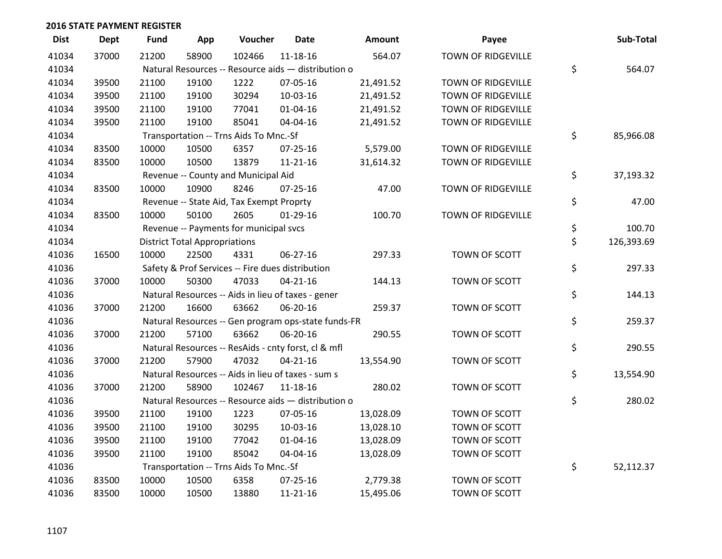| <b>Dist</b> | <b>Dept</b> | <b>Fund</b> | App                                  | Voucher                                             | Date           | <b>Amount</b> | Payee                     | Sub-Total        |
|-------------|-------------|-------------|--------------------------------------|-----------------------------------------------------|----------------|---------------|---------------------------|------------------|
| 41034       | 37000       | 21200       | 58900                                | 102466                                              | $11 - 18 - 16$ | 564.07        | <b>TOWN OF RIDGEVILLE</b> |                  |
| 41034       |             |             |                                      | Natural Resources -- Resource aids - distribution o |                |               |                           | \$<br>564.07     |
| 41034       | 39500       | 21100       | 19100                                | 1222                                                | 07-05-16       | 21,491.52     | <b>TOWN OF RIDGEVILLE</b> |                  |
| 41034       | 39500       | 21100       | 19100                                | 30294                                               | 10-03-16       | 21,491.52     | <b>TOWN OF RIDGEVILLE</b> |                  |
| 41034       | 39500       | 21100       | 19100                                | 77041                                               | $01 - 04 - 16$ | 21,491.52     | <b>TOWN OF RIDGEVILLE</b> |                  |
| 41034       | 39500       | 21100       | 19100                                | 85041                                               | 04-04-16       | 21,491.52     | TOWN OF RIDGEVILLE        |                  |
| 41034       |             |             |                                      | Transportation -- Trns Aids To Mnc.-Sf              |                |               |                           | \$<br>85,966.08  |
| 41034       | 83500       | 10000       | 10500                                | 6357                                                | $07 - 25 - 16$ | 5,579.00      | <b>TOWN OF RIDGEVILLE</b> |                  |
| 41034       | 83500       | 10000       | 10500                                | 13879                                               | $11 - 21 - 16$ | 31,614.32     | <b>TOWN OF RIDGEVILLE</b> |                  |
| 41034       |             |             |                                      | Revenue -- County and Municipal Aid                 |                |               |                           | \$<br>37,193.32  |
| 41034       | 83500       | 10000       | 10900                                | 8246                                                | 07-25-16       | 47.00         | TOWN OF RIDGEVILLE        |                  |
| 41034       |             |             |                                      | Revenue -- State Aid, Tax Exempt Proprty            |                |               |                           | \$<br>47.00      |
| 41034       | 83500       | 10000       | 50100                                | 2605                                                | $01-29-16$     | 100.70        | <b>TOWN OF RIDGEVILLE</b> |                  |
| 41034       |             |             |                                      | Revenue -- Payments for municipal svcs              |                |               |                           | \$<br>100.70     |
| 41034       |             |             | <b>District Total Appropriations</b> |                                                     |                |               |                           | \$<br>126,393.69 |
| 41036       | 16500       | 10000       | 22500                                | 4331                                                | $06 - 27 - 16$ | 297.33        | TOWN OF SCOTT             |                  |
| 41036       |             |             |                                      | Safety & Prof Services -- Fire dues distribution    |                |               |                           | \$<br>297.33     |
| 41036       | 37000       | 10000       | 50300                                | 47033                                               | $04 - 21 - 16$ | 144.13        | TOWN OF SCOTT             |                  |
| 41036       |             |             |                                      | Natural Resources -- Aids in lieu of taxes - gener  |                |               |                           | \$<br>144.13     |
| 41036       | 37000       | 21200       | 16600                                | 63662                                               | 06-20-16       | 259.37        | TOWN OF SCOTT             |                  |
| 41036       |             |             |                                      | Natural Resources -- Gen program ops-state funds-FR |                |               |                           | \$<br>259.37     |
| 41036       | 37000       | 21200       | 57100                                | 63662                                               | 06-20-16       | 290.55        | TOWN OF SCOTT             |                  |
| 41036       |             |             |                                      | Natural Resources -- ResAids - cnty forst, cl & mfl |                |               |                           | \$<br>290.55     |
| 41036       | 37000       | 21200       | 57900                                | 47032                                               | $04 - 21 - 16$ | 13,554.90     | TOWN OF SCOTT             |                  |
| 41036       |             |             |                                      | Natural Resources -- Aids in lieu of taxes - sum s  |                |               |                           | \$<br>13,554.90  |
| 41036       | 37000       | 21200       | 58900                                | 102467                                              | 11-18-16       | 280.02        | TOWN OF SCOTT             |                  |
| 41036       |             |             |                                      | Natural Resources -- Resource aids - distribution o |                |               |                           | \$<br>280.02     |
| 41036       | 39500       | 21100       | 19100                                | 1223                                                | 07-05-16       | 13,028.09     | TOWN OF SCOTT             |                  |
| 41036       | 39500       | 21100       | 19100                                | 30295                                               | 10-03-16       | 13,028.10     | TOWN OF SCOTT             |                  |
| 41036       | 39500       | 21100       | 19100                                | 77042                                               | $01 - 04 - 16$ | 13,028.09     | TOWN OF SCOTT             |                  |
| 41036       | 39500       | 21100       | 19100                                | 85042                                               | 04-04-16       | 13,028.09     | TOWN OF SCOTT             |                  |
| 41036       |             |             |                                      | Transportation -- Trns Aids To Mnc.-Sf              |                |               |                           | \$<br>52,112.37  |
| 41036       | 83500       | 10000       | 10500                                | 6358                                                | 07-25-16       | 2,779.38      | TOWN OF SCOTT             |                  |
| 41036       | 83500       | 10000       | 10500                                | 13880                                               | 11-21-16       | 15,495.06     | TOWN OF SCOTT             |                  |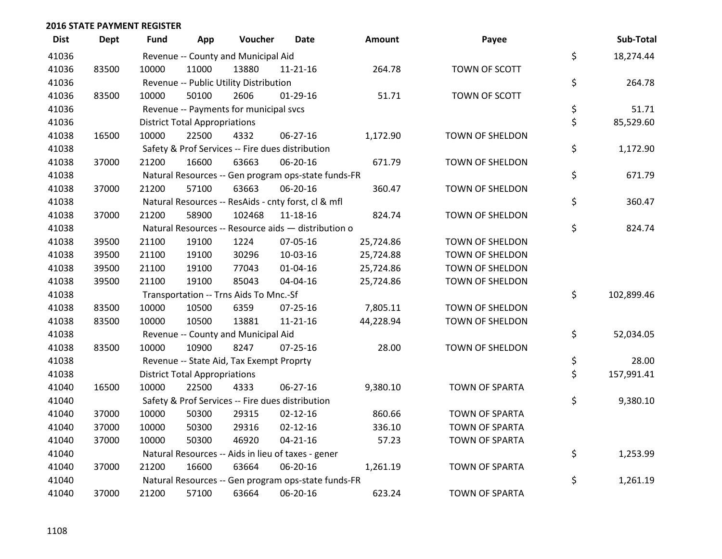| <b>Dist</b> | <b>Dept</b> | Fund  | App                                  | Voucher                                             | Date           | Amount    | Payee                  | Sub-Total        |
|-------------|-------------|-------|--------------------------------------|-----------------------------------------------------|----------------|-----------|------------------------|------------------|
| 41036       |             |       |                                      | Revenue -- County and Municipal Aid                 |                |           |                        | \$<br>18,274.44  |
| 41036       | 83500       | 10000 | 11000                                | 13880                                               | 11-21-16       | 264.78    | TOWN OF SCOTT          |                  |
| 41036       |             |       |                                      | Revenue -- Public Utility Distribution              |                |           |                        | \$<br>264.78     |
| 41036       | 83500       | 10000 | 50100                                | 2606                                                | $01-29-16$     | 51.71     | TOWN OF SCOTT          |                  |
| 41036       |             |       |                                      | Revenue -- Payments for municipal svcs              |                |           |                        | \$<br>51.71      |
| 41036       |             |       | <b>District Total Appropriations</b> |                                                     |                |           |                        | \$<br>85,529.60  |
| 41038       | 16500       | 10000 | 22500                                | 4332                                                | 06-27-16       | 1,172.90  | <b>TOWN OF SHELDON</b> |                  |
| 41038       |             |       |                                      | Safety & Prof Services -- Fire dues distribution    |                |           |                        | \$<br>1,172.90   |
| 41038       | 37000       | 21200 | 16600                                | 63663                                               | 06-20-16       | 671.79    | TOWN OF SHELDON        |                  |
| 41038       |             |       |                                      | Natural Resources -- Gen program ops-state funds-FR |                |           |                        | \$<br>671.79     |
| 41038       | 37000       | 21200 | 57100                                | 63663                                               | 06-20-16       | 360.47    | TOWN OF SHELDON        |                  |
| 41038       |             |       |                                      | Natural Resources -- ResAids - cnty forst, cl & mfl |                |           |                        | \$<br>360.47     |
| 41038       | 37000       | 21200 | 58900                                | 102468                                              | 11-18-16       | 824.74    | TOWN OF SHELDON        |                  |
| 41038       |             |       |                                      | Natural Resources -- Resource aids - distribution o |                |           |                        | \$<br>824.74     |
| 41038       | 39500       | 21100 | 19100                                | 1224                                                | 07-05-16       | 25,724.86 | <b>TOWN OF SHELDON</b> |                  |
| 41038       | 39500       | 21100 | 19100                                | 30296                                               | 10-03-16       | 25,724.88 | TOWN OF SHELDON        |                  |
| 41038       | 39500       | 21100 | 19100                                | 77043                                               | 01-04-16       | 25,724.86 | TOWN OF SHELDON        |                  |
| 41038       | 39500       | 21100 | 19100                                | 85043                                               | 04-04-16       | 25,724.86 | TOWN OF SHELDON        |                  |
| 41038       |             |       |                                      | Transportation -- Trns Aids To Mnc.-Sf              |                |           |                        | \$<br>102,899.46 |
| 41038       | 83500       | 10000 | 10500                                | 6359                                                | 07-25-16       | 7,805.11  | TOWN OF SHELDON        |                  |
| 41038       | 83500       | 10000 | 10500                                | 13881                                               | $11 - 21 - 16$ | 44,228.94 | <b>TOWN OF SHELDON</b> |                  |
| 41038       |             |       |                                      | Revenue -- County and Municipal Aid                 |                |           |                        | \$<br>52,034.05  |
| 41038       | 83500       | 10000 | 10900                                | 8247                                                | $07 - 25 - 16$ | 28.00     | TOWN OF SHELDON        |                  |
| 41038       |             |       |                                      | Revenue -- State Aid, Tax Exempt Proprty            |                |           |                        | \$<br>28.00      |
| 41038       |             |       | <b>District Total Appropriations</b> |                                                     |                |           |                        | \$<br>157,991.41 |
| 41040       | 16500       | 10000 | 22500                                | 4333                                                | $06 - 27 - 16$ | 9,380.10  | <b>TOWN OF SPARTA</b>  |                  |
| 41040       |             |       |                                      | Safety & Prof Services -- Fire dues distribution    |                |           |                        | \$<br>9,380.10   |
| 41040       | 37000       | 10000 | 50300                                | 29315                                               | $02 - 12 - 16$ | 860.66    | <b>TOWN OF SPARTA</b>  |                  |
| 41040       | 37000       | 10000 | 50300                                | 29316                                               | $02 - 12 - 16$ | 336.10    | <b>TOWN OF SPARTA</b>  |                  |
| 41040       | 37000       | 10000 | 50300                                | 46920                                               | $04 - 21 - 16$ | 57.23     | <b>TOWN OF SPARTA</b>  |                  |
| 41040       |             |       |                                      | Natural Resources -- Aids in lieu of taxes - gener  |                |           |                        | \$<br>1,253.99   |
| 41040       | 37000       | 21200 | 16600                                | 63664                                               | 06-20-16       | 1,261.19  | <b>TOWN OF SPARTA</b>  |                  |
| 41040       |             |       |                                      | Natural Resources -- Gen program ops-state funds-FR |                |           |                        | \$<br>1,261.19   |
| 41040       | 37000       | 21200 | 57100                                | 63664                                               | 06-20-16       | 623.24    | <b>TOWN OF SPARTA</b>  |                  |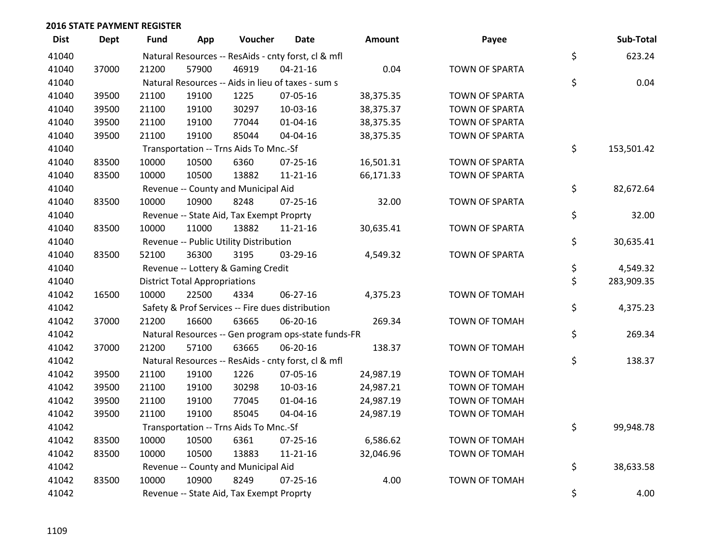| <b>Dist</b> | <b>Dept</b> | <b>Fund</b> | App                                  | Voucher                                             | <b>Date</b>    | Amount    | Payee                 | Sub-Total        |
|-------------|-------------|-------------|--------------------------------------|-----------------------------------------------------|----------------|-----------|-----------------------|------------------|
| 41040       |             |             |                                      | Natural Resources -- ResAids - cnty forst, cl & mfl |                |           |                       | \$<br>623.24     |
| 41040       | 37000       | 21200       | 57900                                | 46919                                               | $04 - 21 - 16$ | 0.04      | <b>TOWN OF SPARTA</b> |                  |
| 41040       |             |             |                                      | Natural Resources -- Aids in lieu of taxes - sum s  |                |           |                       | \$<br>0.04       |
| 41040       | 39500       | 21100       | 19100                                | 1225                                                | 07-05-16       | 38,375.35 | <b>TOWN OF SPARTA</b> |                  |
| 41040       | 39500       | 21100       | 19100                                | 30297                                               | 10-03-16       | 38,375.37 | <b>TOWN OF SPARTA</b> |                  |
| 41040       | 39500       | 21100       | 19100                                | 77044                                               | $01 - 04 - 16$ | 38,375.35 | <b>TOWN OF SPARTA</b> |                  |
| 41040       | 39500       | 21100       | 19100                                | 85044                                               | 04-04-16       | 38,375.35 | <b>TOWN OF SPARTA</b> |                  |
| 41040       |             |             |                                      | Transportation -- Trns Aids To Mnc.-Sf              |                |           |                       | \$<br>153,501.42 |
| 41040       | 83500       | 10000       | 10500                                | 6360                                                | $07 - 25 - 16$ | 16,501.31 | <b>TOWN OF SPARTA</b> |                  |
| 41040       | 83500       | 10000       | 10500                                | 13882                                               | $11 - 21 - 16$ | 66,171.33 | <b>TOWN OF SPARTA</b> |                  |
| 41040       |             |             |                                      | Revenue -- County and Municipal Aid                 |                |           |                       | \$<br>82,672.64  |
| 41040       | 83500       | 10000       | 10900                                | 8248                                                | $07 - 25 - 16$ | 32.00     | <b>TOWN OF SPARTA</b> |                  |
| 41040       |             |             |                                      | Revenue -- State Aid, Tax Exempt Proprty            |                |           |                       | \$<br>32.00      |
| 41040       | 83500       | 10000       | 11000                                | 13882                                               | $11 - 21 - 16$ | 30,635.41 | <b>TOWN OF SPARTA</b> |                  |
| 41040       |             |             |                                      | Revenue -- Public Utility Distribution              |                |           |                       | \$<br>30,635.41  |
| 41040       | 83500       | 52100       | 36300                                | 3195                                                | 03-29-16       | 4,549.32  | <b>TOWN OF SPARTA</b> |                  |
| 41040       |             |             |                                      | Revenue -- Lottery & Gaming Credit                  |                |           |                       | \$<br>4,549.32   |
| 41040       |             |             | <b>District Total Appropriations</b> |                                                     |                |           |                       | \$<br>283,909.35 |
| 41042       | 16500       | 10000       | 22500                                | 4334                                                | 06-27-16       | 4,375.23  | <b>TOWN OF TOMAH</b>  |                  |
| 41042       |             |             |                                      | Safety & Prof Services -- Fire dues distribution    |                |           |                       | \$<br>4,375.23   |
| 41042       | 37000       | 21200       | 16600                                | 63665                                               | 06-20-16       | 269.34    | <b>TOWN OF TOMAH</b>  |                  |
| 41042       |             |             |                                      | Natural Resources -- Gen program ops-state funds-FR |                |           |                       | \$<br>269.34     |
| 41042       | 37000       | 21200       | 57100                                | 63665                                               | 06-20-16       | 138.37    | TOWN OF TOMAH         |                  |
| 41042       |             |             |                                      | Natural Resources -- ResAids - cnty forst, cl & mfl |                |           |                       | \$<br>138.37     |
| 41042       | 39500       | 21100       | 19100                                | 1226                                                | 07-05-16       | 24,987.19 | <b>TOWN OF TOMAH</b>  |                  |
| 41042       | 39500       | 21100       | 19100                                | 30298                                               | $10-03-16$     | 24,987.21 | <b>TOWN OF TOMAH</b>  |                  |
| 41042       | 39500       | 21100       | 19100                                | 77045                                               | 01-04-16       | 24,987.19 | TOWN OF TOMAH         |                  |
| 41042       | 39500       | 21100       | 19100                                | 85045                                               | 04-04-16       | 24,987.19 | TOWN OF TOMAH         |                  |
| 41042       |             |             |                                      | Transportation -- Trns Aids To Mnc.-Sf              |                |           |                       | \$<br>99,948.78  |
| 41042       | 83500       | 10000       | 10500                                | 6361                                                | $07 - 25 - 16$ | 6,586.62  | <b>TOWN OF TOMAH</b>  |                  |
| 41042       | 83500       | 10000       | 10500                                | 13883                                               | $11 - 21 - 16$ | 32,046.96 | TOWN OF TOMAH         |                  |
| 41042       |             |             |                                      | Revenue -- County and Municipal Aid                 |                |           |                       | \$<br>38,633.58  |
| 41042       | 83500       | 10000       | 10900                                | 8249                                                | $07 - 25 - 16$ | 4.00      | <b>TOWN OF TOMAH</b>  |                  |
| 41042       |             |             |                                      | Revenue -- State Aid, Tax Exempt Proprty            |                |           |                       | \$<br>4.00       |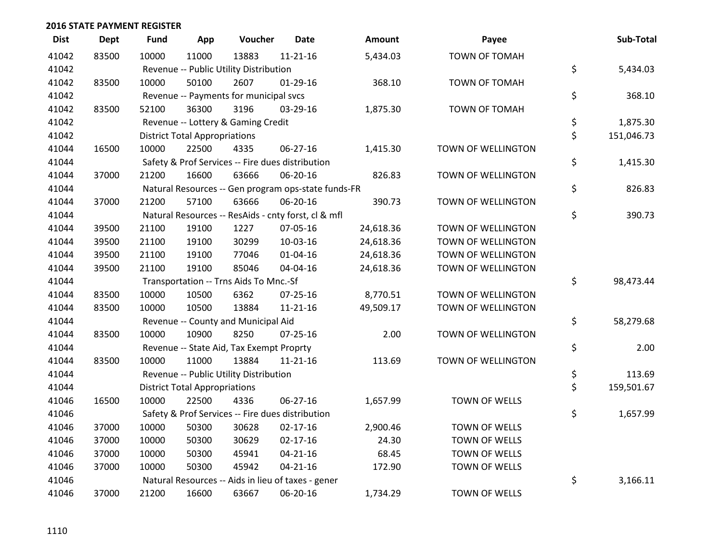| <b>Dist</b> | <b>Dept</b> | <b>Fund</b> | App                                  | Voucher                                          | <b>Date</b>                                         | <b>Amount</b> | Payee                | Sub-Total        |
|-------------|-------------|-------------|--------------------------------------|--------------------------------------------------|-----------------------------------------------------|---------------|----------------------|------------------|
| 41042       | 83500       | 10000       | 11000                                | 13883                                            | $11 - 21 - 16$                                      | 5,434.03      | <b>TOWN OF TOMAH</b> |                  |
| 41042       |             |             |                                      | Revenue -- Public Utility Distribution           |                                                     |               |                      | \$<br>5,434.03   |
| 41042       | 83500       | 10000       | 50100                                | 2607                                             | $01-29-16$                                          | 368.10        | TOWN OF TOMAH        |                  |
| 41042       |             |             |                                      | Revenue -- Payments for municipal svcs           |                                                     |               |                      | \$<br>368.10     |
| 41042       | 83500       | 52100       | 36300                                | 3196                                             | 03-29-16                                            | 1,875.30      | <b>TOWN OF TOMAH</b> |                  |
| 41042       |             |             |                                      | Revenue -- Lottery & Gaming Credit               |                                                     |               |                      | \$<br>1,875.30   |
| 41042       |             |             | <b>District Total Appropriations</b> |                                                  |                                                     |               |                      | \$<br>151,046.73 |
| 41044       | 16500       | 10000       | 22500                                | 4335                                             | 06-27-16                                            | 1,415.30      | TOWN OF WELLINGTON   |                  |
| 41044       |             |             |                                      | Safety & Prof Services -- Fire dues distribution |                                                     |               |                      | \$<br>1,415.30   |
| 41044       | 37000       | 21200       | 16600                                | 63666                                            | 06-20-16                                            | 826.83        | TOWN OF WELLINGTON   |                  |
| 41044       |             |             |                                      |                                                  | Natural Resources -- Gen program ops-state funds-FR |               |                      | \$<br>826.83     |
| 41044       | 37000       | 21200       | 57100                                | 63666                                            | 06-20-16                                            | 390.73        | TOWN OF WELLINGTON   |                  |
| 41044       |             |             |                                      |                                                  | Natural Resources -- ResAids - cnty forst, cl & mfl |               |                      | \$<br>390.73     |
| 41044       | 39500       | 21100       | 19100                                | 1227                                             | 07-05-16                                            | 24,618.36     | TOWN OF WELLINGTON   |                  |
| 41044       | 39500       | 21100       | 19100                                | 30299                                            | $10-03-16$                                          | 24,618.36     | TOWN OF WELLINGTON   |                  |
| 41044       | 39500       | 21100       | 19100                                | 77046                                            | $01 - 04 - 16$                                      | 24,618.36     | TOWN OF WELLINGTON   |                  |
| 41044       | 39500       | 21100       | 19100                                | 85046                                            | 04-04-16                                            | 24,618.36     | TOWN OF WELLINGTON   |                  |
| 41044       |             |             |                                      | Transportation -- Trns Aids To Mnc.-Sf           |                                                     |               |                      | \$<br>98,473.44  |
| 41044       | 83500       | 10000       | 10500                                | 6362                                             | 07-25-16                                            | 8,770.51      | TOWN OF WELLINGTON   |                  |
| 41044       | 83500       | 10000       | 10500                                | 13884                                            | $11 - 21 - 16$                                      | 49,509.17     | TOWN OF WELLINGTON   |                  |
| 41044       |             |             |                                      | Revenue -- County and Municipal Aid              |                                                     |               |                      | \$<br>58,279.68  |
| 41044       | 83500       | 10000       | 10900                                | 8250                                             | $07 - 25 - 16$                                      | 2.00          | TOWN OF WELLINGTON   |                  |
| 41044       |             |             |                                      | Revenue -- State Aid, Tax Exempt Proprty         |                                                     |               |                      | \$<br>2.00       |
| 41044       | 83500       | 10000       | 11000                                | 13884                                            | $11 - 21 - 16$                                      | 113.69        | TOWN OF WELLINGTON   |                  |
| 41044       |             |             |                                      | Revenue -- Public Utility Distribution           |                                                     |               |                      | \$<br>113.69     |
| 41044       |             |             | <b>District Total Appropriations</b> |                                                  |                                                     |               |                      | \$<br>159,501.67 |
| 41046       | 16500       | 10000       | 22500                                | 4336                                             | 06-27-16                                            | 1,657.99      | TOWN OF WELLS        |                  |
| 41046       |             |             |                                      |                                                  | Safety & Prof Services -- Fire dues distribution    |               |                      | \$<br>1,657.99   |
| 41046       | 37000       | 10000       | 50300                                | 30628                                            | $02 - 17 - 16$                                      | 2,900.46      | TOWN OF WELLS        |                  |
| 41046       | 37000       | 10000       | 50300                                | 30629                                            | $02 - 17 - 16$                                      | 24.30         | TOWN OF WELLS        |                  |
| 41046       | 37000       | 10000       | 50300                                | 45941                                            | $04 - 21 - 16$                                      | 68.45         | TOWN OF WELLS        |                  |
| 41046       | 37000       | 10000       | 50300                                | 45942                                            | $04 - 21 - 16$                                      | 172.90        | TOWN OF WELLS        |                  |
| 41046       |             |             |                                      |                                                  | Natural Resources -- Aids in lieu of taxes - gener  |               |                      | \$<br>3,166.11   |
| 41046       | 37000       | 21200       | 16600                                | 63667                                            | 06-20-16                                            | 1,734.29      | TOWN OF WELLS        |                  |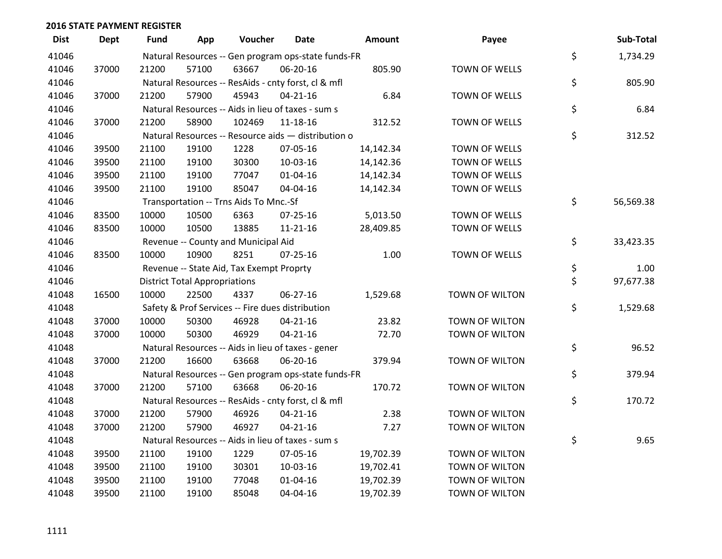| <b>Dist</b> | <b>Dept</b> | <b>Fund</b> | App                                  | Voucher                                             | <b>Date</b>    | Amount    | Payee                | Sub-Total       |
|-------------|-------------|-------------|--------------------------------------|-----------------------------------------------------|----------------|-----------|----------------------|-----------------|
| 41046       |             |             |                                      | Natural Resources -- Gen program ops-state funds-FR |                |           |                      | \$<br>1,734.29  |
| 41046       | 37000       | 21200       | 57100                                | 63667                                               | 06-20-16       | 805.90    | TOWN OF WELLS        |                 |
| 41046       |             |             |                                      | Natural Resources -- ResAids - cnty forst, cl & mfl |                |           |                      | \$<br>805.90    |
| 41046       | 37000       | 21200       | 57900                                | 45943                                               | $04 - 21 - 16$ | 6.84      | <b>TOWN OF WELLS</b> |                 |
| 41046       |             |             |                                      | Natural Resources -- Aids in lieu of taxes - sum s  |                |           |                      | \$<br>6.84      |
| 41046       | 37000       | 21200       | 58900                                | 102469                                              | $11 - 18 - 16$ | 312.52    | TOWN OF WELLS        |                 |
| 41046       |             |             |                                      | Natural Resources -- Resource aids - distribution o |                |           |                      | \$<br>312.52    |
| 41046       | 39500       | 21100       | 19100                                | 1228                                                | 07-05-16       | 14,142.34 | <b>TOWN OF WELLS</b> |                 |
| 41046       | 39500       | 21100       | 19100                                | 30300                                               | 10-03-16       | 14,142.36 | TOWN OF WELLS        |                 |
| 41046       | 39500       | 21100       | 19100                                | 77047                                               | $01 - 04 - 16$ | 14,142.34 | <b>TOWN OF WELLS</b> |                 |
| 41046       | 39500       | 21100       | 19100                                | 85047                                               | 04-04-16       | 14,142.34 | TOWN OF WELLS        |                 |
| 41046       |             |             |                                      | Transportation -- Trns Aids To Mnc.-Sf              |                |           |                      | \$<br>56,569.38 |
| 41046       | 83500       | 10000       | 10500                                | 6363                                                | $07 - 25 - 16$ | 5,013.50  | <b>TOWN OF WELLS</b> |                 |
| 41046       | 83500       | 10000       | 10500                                | 13885                                               | $11 - 21 - 16$ | 28,409.85 | TOWN OF WELLS        |                 |
| 41046       |             |             |                                      | Revenue -- County and Municipal Aid                 |                |           |                      | \$<br>33,423.35 |
| 41046       | 83500       | 10000       | 10900                                | 8251                                                | $07 - 25 - 16$ | 1.00      | <b>TOWN OF WELLS</b> |                 |
| 41046       |             |             |                                      | Revenue -- State Aid, Tax Exempt Proprty            |                |           |                      | \$<br>1.00      |
| 41046       |             |             | <b>District Total Appropriations</b> |                                                     |                |           |                      | \$<br>97,677.38 |
| 41048       | 16500       | 10000       | 22500                                | 4337                                                | 06-27-16       | 1,529.68  | TOWN OF WILTON       |                 |
| 41048       |             |             |                                      | Safety & Prof Services -- Fire dues distribution    |                |           |                      | \$<br>1,529.68  |
| 41048       | 37000       | 10000       | 50300                                | 46928                                               | $04 - 21 - 16$ | 23.82     | TOWN OF WILTON       |                 |
| 41048       | 37000       | 10000       | 50300                                | 46929                                               | $04 - 21 - 16$ | 72.70     | TOWN OF WILTON       |                 |
| 41048       |             |             |                                      | Natural Resources -- Aids in lieu of taxes - gener  |                |           |                      | \$<br>96.52     |
| 41048       | 37000       | 21200       | 16600                                | 63668                                               | 06-20-16       | 379.94    | TOWN OF WILTON       |                 |
| 41048       |             |             |                                      | Natural Resources -- Gen program ops-state funds-FR |                |           |                      | \$<br>379.94    |
| 41048       | 37000       | 21200       | 57100                                | 63668                                               | 06-20-16       | 170.72    | TOWN OF WILTON       |                 |
| 41048       |             |             |                                      | Natural Resources -- ResAids - cnty forst, cl & mfl |                |           |                      | \$<br>170.72    |
| 41048       | 37000       | 21200       | 57900                                | 46926                                               | $04 - 21 - 16$ | 2.38      | TOWN OF WILTON       |                 |
| 41048       | 37000       | 21200       | 57900                                | 46927                                               | $04 - 21 - 16$ | 7.27      | TOWN OF WILTON       |                 |
| 41048       |             |             |                                      | Natural Resources -- Aids in lieu of taxes - sum s  |                |           |                      | \$<br>9.65      |
| 41048       | 39500       | 21100       | 19100                                | 1229                                                | 07-05-16       | 19,702.39 | TOWN OF WILTON       |                 |
| 41048       | 39500       | 21100       | 19100                                | 30301                                               | 10-03-16       | 19,702.41 | TOWN OF WILTON       |                 |
| 41048       | 39500       | 21100       | 19100                                | 77048                                               | $01 - 04 - 16$ | 19,702.39 | TOWN OF WILTON       |                 |
| 41048       | 39500       | 21100       | 19100                                | 85048                                               | 04-04-16       | 19,702.39 | TOWN OF WILTON       |                 |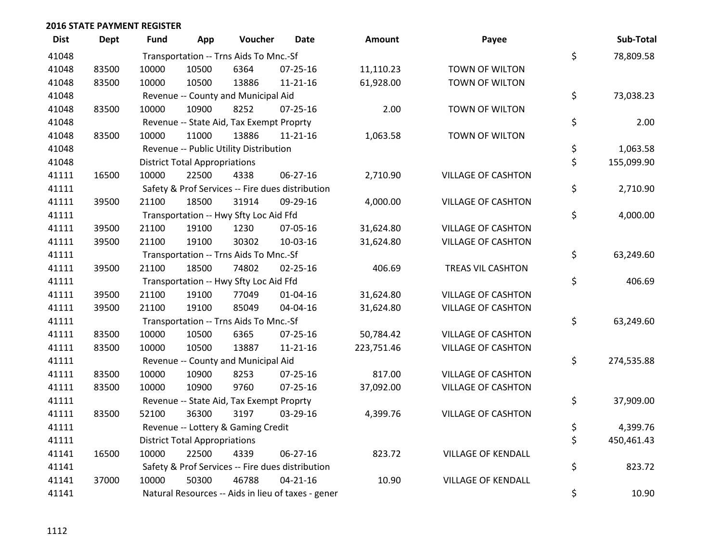| <b>Dist</b> | <b>Dept</b> | Fund  | App                                  | Voucher                                  | <b>Date</b>                                        | <b>Amount</b> | Payee                     | Sub-Total        |
|-------------|-------------|-------|--------------------------------------|------------------------------------------|----------------------------------------------------|---------------|---------------------------|------------------|
| 41048       |             |       |                                      | Transportation -- Trns Aids To Mnc.-Sf   |                                                    |               |                           | \$<br>78,809.58  |
| 41048       | 83500       | 10000 | 10500                                | 6364                                     | 07-25-16                                           | 11,110.23     | TOWN OF WILTON            |                  |
| 41048       | 83500       | 10000 | 10500                                | 13886                                    | $11 - 21 - 16$                                     | 61,928.00     | TOWN OF WILTON            |                  |
| 41048       |             |       |                                      | Revenue -- County and Municipal Aid      |                                                    |               |                           | \$<br>73,038.23  |
| 41048       | 83500       | 10000 | 10900                                | 8252                                     | $07 - 25 - 16$                                     | 2.00          | TOWN OF WILTON            |                  |
| 41048       |             |       |                                      | Revenue -- State Aid, Tax Exempt Proprty |                                                    |               |                           | \$<br>2.00       |
| 41048       | 83500       | 10000 | 11000                                | 13886                                    | $11 - 21 - 16$                                     | 1,063.58      | TOWN OF WILTON            |                  |
| 41048       |             |       |                                      | Revenue -- Public Utility Distribution   |                                                    |               |                           | \$<br>1,063.58   |
| 41048       |             |       | <b>District Total Appropriations</b> |                                          |                                                    |               |                           | \$<br>155,099.90 |
| 41111       | 16500       | 10000 | 22500                                | 4338                                     | $06 - 27 - 16$                                     | 2,710.90      | <b>VILLAGE OF CASHTON</b> |                  |
| 41111       |             |       |                                      |                                          | Safety & Prof Services -- Fire dues distribution   |               |                           | \$<br>2,710.90   |
| 41111       | 39500       | 21100 | 18500                                | 31914                                    | 09-29-16                                           | 4,000.00      | <b>VILLAGE OF CASHTON</b> |                  |
| 41111       |             |       |                                      | Transportation -- Hwy Sfty Loc Aid Ffd   |                                                    |               |                           | \$<br>4,000.00   |
| 41111       | 39500       | 21100 | 19100                                | 1230                                     | 07-05-16                                           | 31,624.80     | <b>VILLAGE OF CASHTON</b> |                  |
| 41111       | 39500       | 21100 | 19100                                | 30302                                    | 10-03-16                                           | 31,624.80     | <b>VILLAGE OF CASHTON</b> |                  |
| 41111       |             |       |                                      | Transportation -- Trns Aids To Mnc.-Sf   |                                                    |               |                           | \$<br>63,249.60  |
| 41111       | 39500       | 21100 | 18500                                | 74802                                    | $02 - 25 - 16$                                     | 406.69        | TREAS VIL CASHTON         |                  |
| 41111       |             |       |                                      | Transportation -- Hwy Sfty Loc Aid Ffd   |                                                    |               |                           | \$<br>406.69     |
| 41111       | 39500       | 21100 | 19100                                | 77049                                    | 01-04-16                                           | 31,624.80     | <b>VILLAGE OF CASHTON</b> |                  |
| 41111       | 39500       | 21100 | 19100                                | 85049                                    | 04-04-16                                           | 31,624.80     | <b>VILLAGE OF CASHTON</b> |                  |
| 41111       |             |       |                                      | Transportation -- Trns Aids To Mnc.-Sf   |                                                    |               |                           | \$<br>63,249.60  |
| 41111       | 83500       | 10000 | 10500                                | 6365                                     | $07 - 25 - 16$                                     | 50,784.42     | <b>VILLAGE OF CASHTON</b> |                  |
| 41111       | 83500       | 10000 | 10500                                | 13887                                    | $11 - 21 - 16$                                     | 223,751.46    | <b>VILLAGE OF CASHTON</b> |                  |
| 41111       |             |       |                                      | Revenue -- County and Municipal Aid      |                                                    |               |                           | \$<br>274,535.88 |
| 41111       | 83500       | 10000 | 10900                                | 8253                                     | $07 - 25 - 16$                                     | 817.00        | <b>VILLAGE OF CASHTON</b> |                  |
| 41111       | 83500       | 10000 | 10900                                | 9760                                     | $07 - 25 - 16$                                     | 37,092.00     | <b>VILLAGE OF CASHTON</b> |                  |
| 41111       |             |       |                                      | Revenue -- State Aid, Tax Exempt Proprty |                                                    |               |                           | \$<br>37,909.00  |
| 41111       | 83500       | 52100 | 36300                                | 3197                                     | 03-29-16                                           | 4,399.76      | <b>VILLAGE OF CASHTON</b> |                  |
| 41111       |             |       |                                      | Revenue -- Lottery & Gaming Credit       |                                                    |               |                           | \$<br>4,399.76   |
| 41111       |             |       | <b>District Total Appropriations</b> |                                          |                                                    |               |                           | \$<br>450,461.43 |
| 41141       | 16500       | 10000 | 22500                                | 4339                                     | 06-27-16                                           | 823.72        | <b>VILLAGE OF KENDALL</b> |                  |
| 41141       |             |       |                                      |                                          | Safety & Prof Services -- Fire dues distribution   |               |                           | \$<br>823.72     |
| 41141       | 37000       | 10000 | 50300                                | 46788                                    | $04 - 21 - 16$                                     | 10.90         | <b>VILLAGE OF KENDALL</b> |                  |
| 41141       |             |       |                                      |                                          | Natural Resources -- Aids in lieu of taxes - gener |               |                           | \$<br>10.90      |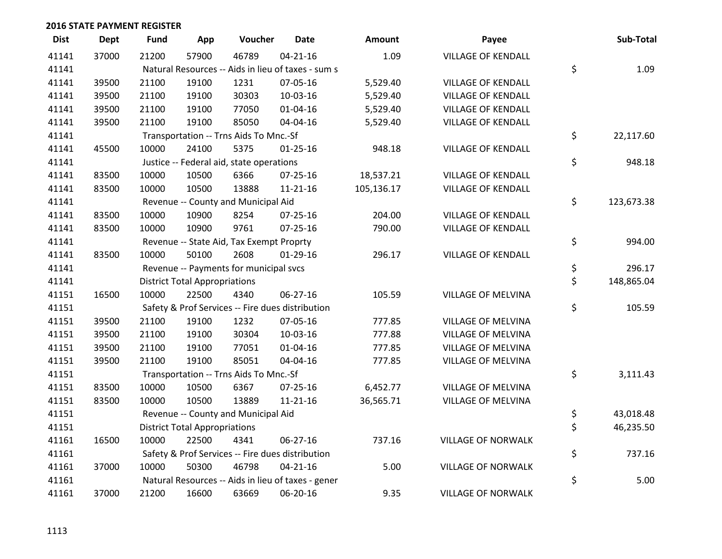| <b>Dist</b> | <b>Dept</b> | <b>Fund</b> | App                                  | Voucher                                            | <b>Date</b>    | <b>Amount</b> | Payee                     | Sub-Total        |
|-------------|-------------|-------------|--------------------------------------|----------------------------------------------------|----------------|---------------|---------------------------|------------------|
| 41141       | 37000       | 21200       | 57900                                | 46789                                              | $04 - 21 - 16$ | 1.09          | <b>VILLAGE OF KENDALL</b> |                  |
| 41141       |             |             |                                      | Natural Resources -- Aids in lieu of taxes - sum s |                |               |                           | \$<br>1.09       |
| 41141       | 39500       | 21100       | 19100                                | 1231                                               | 07-05-16       | 5,529.40      | <b>VILLAGE OF KENDALL</b> |                  |
| 41141       | 39500       | 21100       | 19100                                | 30303                                              | 10-03-16       | 5,529.40      | <b>VILLAGE OF KENDALL</b> |                  |
| 41141       | 39500       | 21100       | 19100                                | 77050                                              | $01 - 04 - 16$ | 5,529.40      | <b>VILLAGE OF KENDALL</b> |                  |
| 41141       | 39500       | 21100       | 19100                                | 85050                                              | 04-04-16       | 5,529.40      | <b>VILLAGE OF KENDALL</b> |                  |
| 41141       |             |             |                                      | Transportation -- Trns Aids To Mnc.-Sf             |                |               |                           | \$<br>22,117.60  |
| 41141       | 45500       | 10000       | 24100                                | 5375                                               | $01 - 25 - 16$ | 948.18        | <b>VILLAGE OF KENDALL</b> |                  |
| 41141       |             |             |                                      | Justice -- Federal aid, state operations           |                |               |                           | \$<br>948.18     |
| 41141       | 83500       | 10000       | 10500                                | 6366                                               | $07 - 25 - 16$ | 18,537.21     | <b>VILLAGE OF KENDALL</b> |                  |
| 41141       | 83500       | 10000       | 10500                                | 13888                                              | $11 - 21 - 16$ | 105,136.17    | <b>VILLAGE OF KENDALL</b> |                  |
| 41141       |             |             |                                      | Revenue -- County and Municipal Aid                |                |               |                           | \$<br>123,673.38 |
| 41141       | 83500       | 10000       | 10900                                | 8254                                               | $07 - 25 - 16$ | 204.00        | <b>VILLAGE OF KENDALL</b> |                  |
| 41141       | 83500       | 10000       | 10900                                | 9761                                               | $07 - 25 - 16$ | 790.00        | <b>VILLAGE OF KENDALL</b> |                  |
| 41141       |             |             |                                      | Revenue -- State Aid, Tax Exempt Proprty           |                |               |                           | \$<br>994.00     |
| 41141       | 83500       | 10000       | 50100                                | 2608                                               | $01-29-16$     | 296.17        | <b>VILLAGE OF KENDALL</b> |                  |
| 41141       |             |             |                                      | Revenue -- Payments for municipal svcs             |                |               |                           | \$<br>296.17     |
| 41141       |             |             | <b>District Total Appropriations</b> |                                                    |                |               |                           | \$<br>148,865.04 |
| 41151       | 16500       | 10000       | 22500                                | 4340                                               | 06-27-16       | 105.59        | VILLAGE OF MELVINA        |                  |
| 41151       |             |             |                                      | Safety & Prof Services -- Fire dues distribution   |                |               |                           | \$<br>105.59     |
| 41151       | 39500       | 21100       | 19100                                | 1232                                               | 07-05-16       | 777.85        | <b>VILLAGE OF MELVINA</b> |                  |
| 41151       | 39500       | 21100       | 19100                                | 30304                                              | 10-03-16       | 777.88        | <b>VILLAGE OF MELVINA</b> |                  |
| 41151       | 39500       | 21100       | 19100                                | 77051                                              | $01 - 04 - 16$ | 777.85        | <b>VILLAGE OF MELVINA</b> |                  |
| 41151       | 39500       | 21100       | 19100                                | 85051                                              | 04-04-16       | 777.85        | <b>VILLAGE OF MELVINA</b> |                  |
| 41151       |             |             |                                      | Transportation -- Trns Aids To Mnc.-Sf             |                |               |                           | \$<br>3,111.43   |
| 41151       | 83500       | 10000       | 10500                                | 6367                                               | $07 - 25 - 16$ | 6,452.77      | <b>VILLAGE OF MELVINA</b> |                  |
| 41151       | 83500       | 10000       | 10500                                | 13889                                              | $11 - 21 - 16$ | 36,565.71     | <b>VILLAGE OF MELVINA</b> |                  |
| 41151       |             |             |                                      | Revenue -- County and Municipal Aid                |                |               |                           | \$<br>43,018.48  |
| 41151       |             |             | <b>District Total Appropriations</b> |                                                    |                |               |                           | \$<br>46,235.50  |
| 41161       | 16500       | 10000       | 22500                                | 4341                                               | 06-27-16       | 737.16        | <b>VILLAGE OF NORWALK</b> |                  |
| 41161       |             |             |                                      | Safety & Prof Services -- Fire dues distribution   |                |               |                           | \$<br>737.16     |
| 41161       | 37000       | 10000       | 50300                                | 46798                                              | $04 - 21 - 16$ | 5.00          | <b>VILLAGE OF NORWALK</b> |                  |
| 41161       |             |             |                                      | Natural Resources -- Aids in lieu of taxes - gener |                |               |                           | \$<br>5.00       |
| 41161       | 37000       | 21200       | 16600                                | 63669                                              | 06-20-16       | 9.35          | <b>VILLAGE OF NORWALK</b> |                  |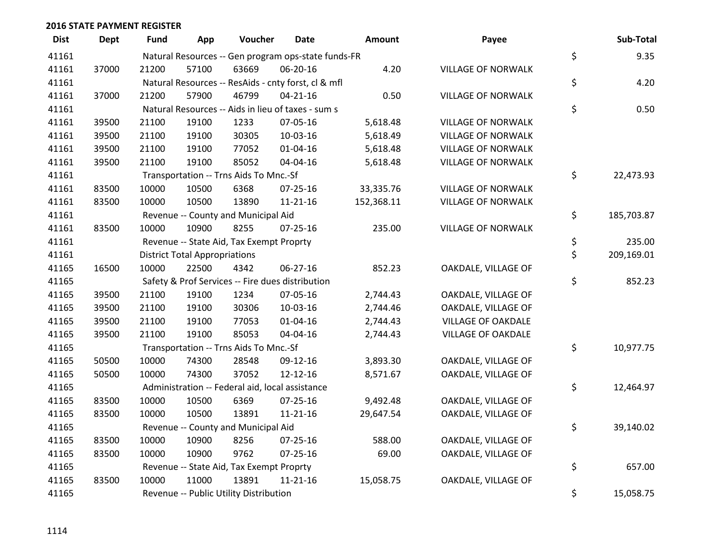| <b>Dist</b> | <b>Dept</b> | Fund  | App                                  | Voucher                                         | <b>Date</b>                                         | <b>Amount</b> | Payee                     | Sub-Total        |
|-------------|-------------|-------|--------------------------------------|-------------------------------------------------|-----------------------------------------------------|---------------|---------------------------|------------------|
| 41161       |             |       |                                      |                                                 | Natural Resources -- Gen program ops-state funds-FR |               |                           | \$<br>9.35       |
| 41161       | 37000       | 21200 | 57100                                | 63669                                           | 06-20-16                                            | 4.20          | <b>VILLAGE OF NORWALK</b> |                  |
| 41161       |             |       |                                      |                                                 | Natural Resources -- ResAids - cnty forst, cl & mfl |               |                           | \$<br>4.20       |
| 41161       | 37000       | 21200 | 57900                                | 46799                                           | $04 - 21 - 16$                                      | 0.50          | <b>VILLAGE OF NORWALK</b> |                  |
| 41161       |             |       |                                      |                                                 | Natural Resources -- Aids in lieu of taxes - sum s  |               |                           | \$<br>0.50       |
| 41161       | 39500       | 21100 | 19100                                | 1233                                            | 07-05-16                                            | 5,618.48      | VILLAGE OF NORWALK        |                  |
| 41161       | 39500       | 21100 | 19100                                | 30305                                           | 10-03-16                                            | 5,618.49      | <b>VILLAGE OF NORWALK</b> |                  |
| 41161       | 39500       | 21100 | 19100                                | 77052                                           | $01 - 04 - 16$                                      | 5,618.48      | <b>VILLAGE OF NORWALK</b> |                  |
| 41161       | 39500       | 21100 | 19100                                | 85052                                           | 04-04-16                                            | 5,618.48      | <b>VILLAGE OF NORWALK</b> |                  |
| 41161       |             |       |                                      | Transportation -- Trns Aids To Mnc.-Sf          |                                                     |               |                           | \$<br>22,473.93  |
| 41161       | 83500       | 10000 | 10500                                | 6368                                            | 07-25-16                                            | 33,335.76     | <b>VILLAGE OF NORWALK</b> |                  |
| 41161       | 83500       | 10000 | 10500                                | 13890                                           | $11 - 21 - 16$                                      | 152,368.11    | <b>VILLAGE OF NORWALK</b> |                  |
| 41161       |             |       |                                      | Revenue -- County and Municipal Aid             |                                                     |               |                           | \$<br>185,703.87 |
| 41161       | 83500       | 10000 | 10900                                | 8255                                            | $07 - 25 - 16$                                      | 235.00        | <b>VILLAGE OF NORWALK</b> |                  |
| 41161       |             |       |                                      | Revenue -- State Aid, Tax Exempt Proprty        |                                                     |               |                           | \$<br>235.00     |
| 41161       |             |       | <b>District Total Appropriations</b> |                                                 |                                                     |               |                           | \$<br>209,169.01 |
| 41165       | 16500       | 10000 | 22500                                | 4342                                            | 06-27-16                                            | 852.23        | OAKDALE, VILLAGE OF       |                  |
| 41165       |             |       |                                      |                                                 | Safety & Prof Services -- Fire dues distribution    |               |                           | \$<br>852.23     |
| 41165       | 39500       | 21100 | 19100                                | 1234                                            | 07-05-16                                            | 2,744.43      | OAKDALE, VILLAGE OF       |                  |
| 41165       | 39500       | 21100 | 19100                                | 30306                                           | 10-03-16                                            | 2,744.46      | OAKDALE, VILLAGE OF       |                  |
| 41165       | 39500       | 21100 | 19100                                | 77053                                           | $01 - 04 - 16$                                      | 2,744.43      | <b>VILLAGE OF OAKDALE</b> |                  |
| 41165       | 39500       | 21100 | 19100                                | 85053                                           | 04-04-16                                            | 2,744.43      | <b>VILLAGE OF OAKDALE</b> |                  |
| 41165       |             |       |                                      | Transportation -- Trns Aids To Mnc.-Sf          |                                                     |               |                           | \$<br>10,977.75  |
| 41165       | 50500       | 10000 | 74300                                | 28548                                           | 09-12-16                                            | 3,893.30      | OAKDALE, VILLAGE OF       |                  |
| 41165       | 50500       | 10000 | 74300                                | 37052                                           | $12 - 12 - 16$                                      | 8,571.67      | OAKDALE, VILLAGE OF       |                  |
| 41165       |             |       |                                      | Administration -- Federal aid, local assistance |                                                     |               |                           | \$<br>12,464.97  |
| 41165       | 83500       | 10000 | 10500                                | 6369                                            | 07-25-16                                            | 9,492.48      | OAKDALE, VILLAGE OF       |                  |
| 41165       | 83500       | 10000 | 10500                                | 13891                                           | $11 - 21 - 16$                                      | 29,647.54     | OAKDALE, VILLAGE OF       |                  |
| 41165       |             |       |                                      | Revenue -- County and Municipal Aid             |                                                     |               |                           | \$<br>39,140.02  |
| 41165       | 83500       | 10000 | 10900                                | 8256                                            | $07 - 25 - 16$                                      | 588.00        | OAKDALE, VILLAGE OF       |                  |
| 41165       | 83500       | 10000 | 10900                                | 9762                                            | 07-25-16                                            | 69.00         | OAKDALE, VILLAGE OF       |                  |
| 41165       |             |       |                                      | Revenue -- State Aid, Tax Exempt Proprty        |                                                     |               |                           | \$<br>657.00     |
| 41165       | 83500       | 10000 | 11000                                | 13891                                           | $11 - 21 - 16$                                      | 15,058.75     | OAKDALE, VILLAGE OF       |                  |
| 41165       |             |       |                                      | Revenue -- Public Utility Distribution          |                                                     |               |                           | \$<br>15,058.75  |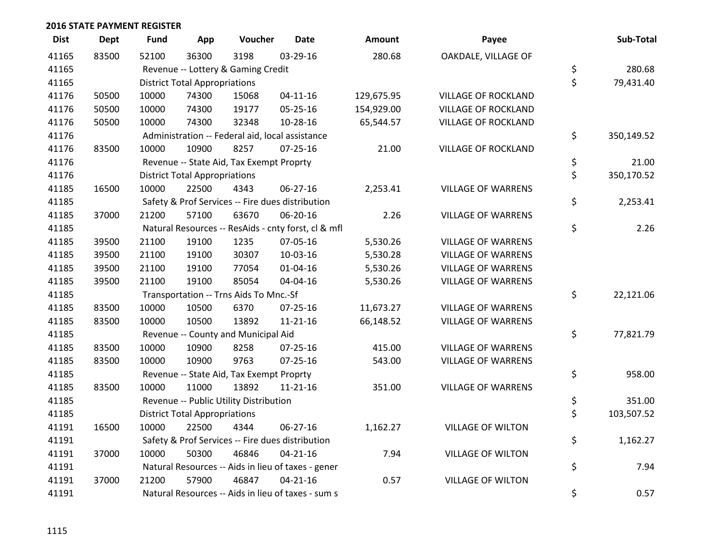| <b>Dist</b> | Dept  | <b>Fund</b> | App                                  | Voucher                                  | <b>Date</b>                                         | Amount     | Payee                      | Sub-Total        |
|-------------|-------|-------------|--------------------------------------|------------------------------------------|-----------------------------------------------------|------------|----------------------------|------------------|
| 41165       | 83500 | 52100       | 36300                                | 3198                                     | 03-29-16                                            | 280.68     | OAKDALE, VILLAGE OF        |                  |
| 41165       |       |             |                                      | Revenue -- Lottery & Gaming Credit       |                                                     |            |                            | \$<br>280.68     |
| 41165       |       |             | <b>District Total Appropriations</b> |                                          |                                                     |            |                            | \$<br>79,431.40  |
| 41176       | 50500 | 10000       | 74300                                | 15068                                    | $04 - 11 - 16$                                      | 129,675.95 | <b>VILLAGE OF ROCKLAND</b> |                  |
| 41176       | 50500 | 10000       | 74300                                | 19177                                    | 05-25-16                                            | 154,929.00 | <b>VILLAGE OF ROCKLAND</b> |                  |
| 41176       | 50500 | 10000       | 74300                                | 32348                                    | 10-28-16                                            | 65,544.57  | <b>VILLAGE OF ROCKLAND</b> |                  |
| 41176       |       |             |                                      |                                          | Administration -- Federal aid, local assistance     |            |                            | \$<br>350,149.52 |
| 41176       | 83500 | 10000       | 10900                                | 8257                                     | $07 - 25 - 16$                                      | 21.00      | <b>VILLAGE OF ROCKLAND</b> |                  |
| 41176       |       |             |                                      | Revenue -- State Aid, Tax Exempt Proprty |                                                     |            |                            | \$<br>21.00      |
| 41176       |       |             | <b>District Total Appropriations</b> |                                          |                                                     |            |                            | \$<br>350,170.52 |
| 41185       | 16500 | 10000       | 22500                                | 4343                                     | 06-27-16                                            | 2,253.41   | <b>VILLAGE OF WARRENS</b>  |                  |
| 41185       |       |             |                                      |                                          | Safety & Prof Services -- Fire dues distribution    |            |                            | \$<br>2,253.41   |
| 41185       | 37000 | 21200       | 57100                                | 63670                                    | 06-20-16                                            | 2.26       | <b>VILLAGE OF WARRENS</b>  |                  |
| 41185       |       |             |                                      |                                          | Natural Resources -- ResAids - cnty forst, cl & mfl |            |                            | \$<br>2.26       |
| 41185       | 39500 | 21100       | 19100                                | 1235                                     | 07-05-16                                            | 5,530.26   | <b>VILLAGE OF WARRENS</b>  |                  |
| 41185       | 39500 | 21100       | 19100                                | 30307                                    | 10-03-16                                            | 5,530.28   | <b>VILLAGE OF WARRENS</b>  |                  |
| 41185       | 39500 | 21100       | 19100                                | 77054                                    | $01 - 04 - 16$                                      | 5,530.26   | <b>VILLAGE OF WARRENS</b>  |                  |
| 41185       | 39500 | 21100       | 19100                                | 85054                                    | 04-04-16                                            | 5,530.26   | <b>VILLAGE OF WARRENS</b>  |                  |
| 41185       |       |             |                                      | Transportation -- Trns Aids To Mnc.-Sf   |                                                     |            |                            | \$<br>22,121.06  |
| 41185       | 83500 | 10000       | 10500                                | 6370                                     | 07-25-16                                            | 11,673.27  | <b>VILLAGE OF WARRENS</b>  |                  |
| 41185       | 83500 | 10000       | 10500                                | 13892                                    | $11 - 21 - 16$                                      | 66,148.52  | <b>VILLAGE OF WARRENS</b>  |                  |
| 41185       |       |             |                                      | Revenue -- County and Municipal Aid      |                                                     |            |                            | \$<br>77,821.79  |
| 41185       | 83500 | 10000       | 10900                                | 8258                                     | $07 - 25 - 16$                                      | 415.00     | <b>VILLAGE OF WARRENS</b>  |                  |
| 41185       | 83500 | 10000       | 10900                                | 9763                                     | $07 - 25 - 16$                                      | 543.00     | <b>VILLAGE OF WARRENS</b>  |                  |
| 41185       |       |             |                                      | Revenue -- State Aid, Tax Exempt Proprty |                                                     |            |                            | \$<br>958.00     |
| 41185       | 83500 | 10000       | 11000                                | 13892                                    | $11 - 21 - 16$                                      | 351.00     | <b>VILLAGE OF WARRENS</b>  |                  |
| 41185       |       |             |                                      | Revenue -- Public Utility Distribution   |                                                     |            |                            | \$<br>351.00     |
| 41185       |       |             | <b>District Total Appropriations</b> |                                          |                                                     |            |                            | \$<br>103,507.52 |
| 41191       | 16500 | 10000       | 22500                                | 4344                                     | 06-27-16                                            | 1,162.27   | <b>VILLAGE OF WILTON</b>   |                  |
| 41191       |       |             |                                      |                                          | Safety & Prof Services -- Fire dues distribution    |            |                            | \$<br>1,162.27   |
| 41191       | 37000 | 10000       | 50300                                | 46846                                    | $04 - 21 - 16$                                      | 7.94       | <b>VILLAGE OF WILTON</b>   |                  |
| 41191       |       |             |                                      |                                          | Natural Resources -- Aids in lieu of taxes - gener  |            |                            | \$<br>7.94       |
| 41191       | 37000 | 21200       | 57900                                | 46847                                    | $04 - 21 - 16$                                      | 0.57       | <b>VILLAGE OF WILTON</b>   |                  |
| 41191       |       |             |                                      |                                          | Natural Resources -- Aids in lieu of taxes - sum s  |            |                            | \$<br>0.57       |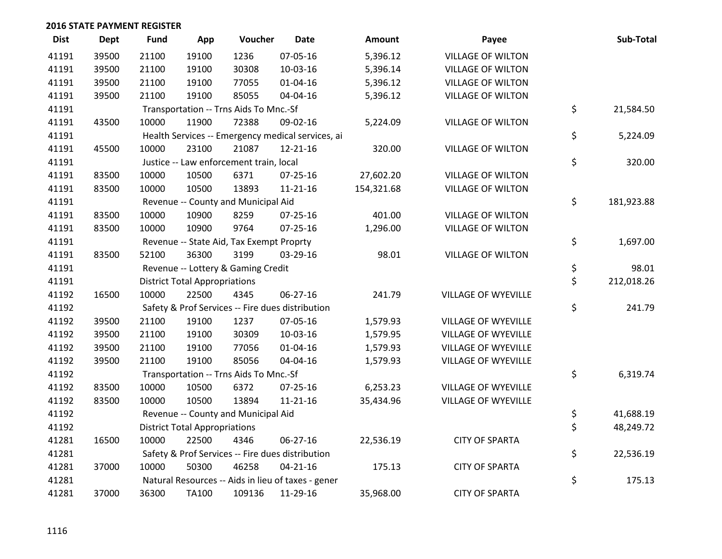| <b>Dist</b> | <b>Dept</b> | <b>Fund</b> | App                                  | Voucher                                            | <b>Date</b>    | Amount     | Payee                      | Sub-Total        |
|-------------|-------------|-------------|--------------------------------------|----------------------------------------------------|----------------|------------|----------------------------|------------------|
| 41191       | 39500       | 21100       | 19100                                | 1236                                               | 07-05-16       | 5,396.12   | <b>VILLAGE OF WILTON</b>   |                  |
| 41191       | 39500       | 21100       | 19100                                | 30308                                              | 10-03-16       | 5,396.14   | <b>VILLAGE OF WILTON</b>   |                  |
| 41191       | 39500       | 21100       | 19100                                | 77055                                              | $01 - 04 - 16$ | 5,396.12   | <b>VILLAGE OF WILTON</b>   |                  |
| 41191       | 39500       | 21100       | 19100                                | 85055                                              | 04-04-16       | 5,396.12   | <b>VILLAGE OF WILTON</b>   |                  |
| 41191       |             |             |                                      | Transportation -- Trns Aids To Mnc.-Sf             |                |            |                            | \$<br>21,584.50  |
| 41191       | 43500       | 10000       | 11900                                | 72388                                              | 09-02-16       | 5,224.09   | <b>VILLAGE OF WILTON</b>   |                  |
| 41191       |             |             |                                      | Health Services -- Emergency medical services, ai  |                |            |                            | \$<br>5,224.09   |
| 41191       | 45500       | 10000       | 23100                                | 21087                                              | $12 - 21 - 16$ | 320.00     | <b>VILLAGE OF WILTON</b>   |                  |
| 41191       |             |             |                                      | Justice -- Law enforcement train, local            |                |            |                            | \$<br>320.00     |
| 41191       | 83500       | 10000       | 10500                                | 6371                                               | 07-25-16       | 27,602.20  | <b>VILLAGE OF WILTON</b>   |                  |
| 41191       | 83500       | 10000       | 10500                                | 13893                                              | $11 - 21 - 16$ | 154,321.68 | <b>VILLAGE OF WILTON</b>   |                  |
| 41191       |             |             |                                      | Revenue -- County and Municipal Aid                |                |            |                            | \$<br>181,923.88 |
| 41191       | 83500       | 10000       | 10900                                | 8259                                               | $07 - 25 - 16$ | 401.00     | <b>VILLAGE OF WILTON</b>   |                  |
| 41191       | 83500       | 10000       | 10900                                | 9764                                               | 07-25-16       | 1,296.00   | <b>VILLAGE OF WILTON</b>   |                  |
| 41191       |             |             |                                      | Revenue -- State Aid, Tax Exempt Proprty           |                |            |                            | \$<br>1,697.00   |
| 41191       | 83500       | 52100       | 36300                                | 3199                                               | 03-29-16       | 98.01      | <b>VILLAGE OF WILTON</b>   |                  |
| 41191       |             |             |                                      | Revenue -- Lottery & Gaming Credit                 |                |            |                            | \$<br>98.01      |
| 41191       |             |             | <b>District Total Appropriations</b> |                                                    |                |            |                            | \$<br>212,018.26 |
| 41192       | 16500       | 10000       | 22500                                | 4345                                               | 06-27-16       | 241.79     | <b>VILLAGE OF WYEVILLE</b> |                  |
| 41192       |             |             |                                      | Safety & Prof Services -- Fire dues distribution   |                |            |                            | \$<br>241.79     |
| 41192       | 39500       | 21100       | 19100                                | 1237                                               | 07-05-16       | 1,579.93   | <b>VILLAGE OF WYEVILLE</b> |                  |
| 41192       | 39500       | 21100       | 19100                                | 30309                                              | 10-03-16       | 1,579.95   | <b>VILLAGE OF WYEVILLE</b> |                  |
| 41192       | 39500       | 21100       | 19100                                | 77056                                              | $01 - 04 - 16$ | 1,579.93   | <b>VILLAGE OF WYEVILLE</b> |                  |
| 41192       | 39500       | 21100       | 19100                                | 85056                                              | 04-04-16       | 1,579.93   | <b>VILLAGE OF WYEVILLE</b> |                  |
| 41192       |             |             |                                      | Transportation -- Trns Aids To Mnc.-Sf             |                |            |                            | \$<br>6,319.74   |
| 41192       | 83500       | 10000       | 10500                                | 6372                                               | 07-25-16       | 6,253.23   | <b>VILLAGE OF WYEVILLE</b> |                  |
| 41192       | 83500       | 10000       | 10500                                | 13894                                              | $11 - 21 - 16$ | 35,434.96  | <b>VILLAGE OF WYEVILLE</b> |                  |
| 41192       |             |             |                                      | Revenue -- County and Municipal Aid                |                |            |                            | \$<br>41,688.19  |
| 41192       |             |             | <b>District Total Appropriations</b> |                                                    |                |            |                            | \$<br>48,249.72  |
| 41281       | 16500       | 10000       | 22500                                | 4346                                               | 06-27-16       | 22,536.19  | <b>CITY OF SPARTA</b>      |                  |
| 41281       |             |             |                                      | Safety & Prof Services -- Fire dues distribution   |                |            |                            | \$<br>22,536.19  |
| 41281       | 37000       | 10000       | 50300                                | 46258                                              | $04 - 21 - 16$ | 175.13     | <b>CITY OF SPARTA</b>      |                  |
| 41281       |             |             |                                      | Natural Resources -- Aids in lieu of taxes - gener |                |            |                            | \$<br>175.13     |
| 41281       | 37000       | 36300       | <b>TA100</b>                         | 109136                                             | 11-29-16       | 35,968.00  | <b>CITY OF SPARTA</b>      |                  |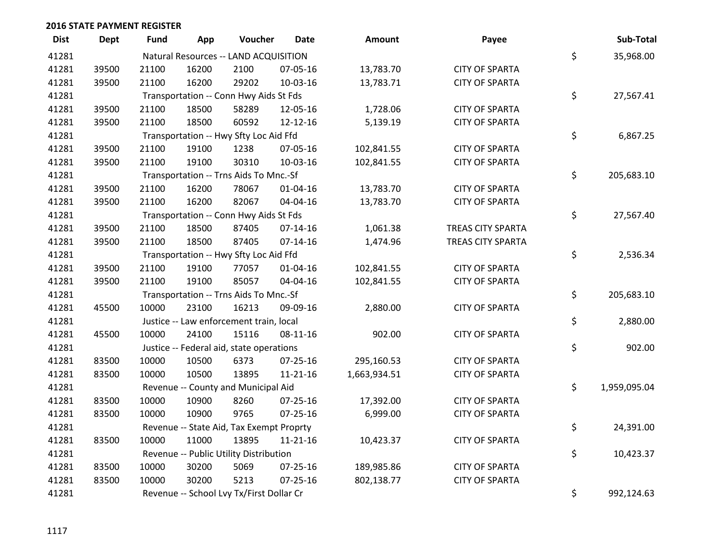| <b>Dist</b> | <b>Dept</b> | <b>Fund</b> | App   | Voucher                                  | Date           | Amount       | Payee                    | Sub-Total          |
|-------------|-------------|-------------|-------|------------------------------------------|----------------|--------------|--------------------------|--------------------|
| 41281       |             |             |       | Natural Resources -- LAND ACQUISITION    |                |              |                          | \$<br>35,968.00    |
| 41281       | 39500       | 21100       | 16200 | 2100                                     | 07-05-16       | 13,783.70    | <b>CITY OF SPARTA</b>    |                    |
| 41281       | 39500       | 21100       | 16200 | 29202                                    | 10-03-16       | 13,783.71    | <b>CITY OF SPARTA</b>    |                    |
| 41281       |             |             |       | Transportation -- Conn Hwy Aids St Fds   |                |              |                          | \$<br>27,567.41    |
| 41281       | 39500       | 21100       | 18500 | 58289                                    | 12-05-16       | 1,728.06     | <b>CITY OF SPARTA</b>    |                    |
| 41281       | 39500       | 21100       | 18500 | 60592                                    | 12-12-16       | 5,139.19     | <b>CITY OF SPARTA</b>    |                    |
| 41281       |             |             |       | Transportation -- Hwy Sfty Loc Aid Ffd   |                |              |                          | \$<br>6,867.25     |
| 41281       | 39500       | 21100       | 19100 | 1238                                     | 07-05-16       | 102,841.55   | <b>CITY OF SPARTA</b>    |                    |
| 41281       | 39500       | 21100       | 19100 | 30310                                    | 10-03-16       | 102,841.55   | <b>CITY OF SPARTA</b>    |                    |
| 41281       |             |             |       | Transportation -- Trns Aids To Mnc.-Sf   |                |              |                          | \$<br>205,683.10   |
| 41281       | 39500       | 21100       | 16200 | 78067                                    | $01 - 04 - 16$ | 13,783.70    | <b>CITY OF SPARTA</b>    |                    |
| 41281       | 39500       | 21100       | 16200 | 82067                                    | 04-04-16       | 13,783.70    | <b>CITY OF SPARTA</b>    |                    |
| 41281       |             |             |       | Transportation -- Conn Hwy Aids St Fds   |                |              |                          | \$<br>27,567.40    |
| 41281       | 39500       | 21100       | 18500 | 87405                                    | $07 - 14 - 16$ | 1,061.38     | <b>TREAS CITY SPARTA</b> |                    |
| 41281       | 39500       | 21100       | 18500 | 87405                                    | $07 - 14 - 16$ | 1,474.96     | TREAS CITY SPARTA        |                    |
| 41281       |             |             |       | Transportation -- Hwy Sfty Loc Aid Ffd   |                |              |                          | \$<br>2,536.34     |
| 41281       | 39500       | 21100       | 19100 | 77057                                    | $01 - 04 - 16$ | 102,841.55   | <b>CITY OF SPARTA</b>    |                    |
| 41281       | 39500       | 21100       | 19100 | 85057                                    | 04-04-16       | 102,841.55   | <b>CITY OF SPARTA</b>    |                    |
| 41281       |             |             |       | Transportation -- Trns Aids To Mnc.-Sf   |                |              |                          | \$<br>205,683.10   |
| 41281       | 45500       | 10000       | 23100 | 16213                                    | 09-09-16       | 2,880.00     | <b>CITY OF SPARTA</b>    |                    |
| 41281       |             |             |       | Justice -- Law enforcement train, local  |                |              |                          | \$<br>2,880.00     |
| 41281       | 45500       | 10000       | 24100 | 15116                                    | $08-11-16$     | 902.00       | <b>CITY OF SPARTA</b>    |                    |
| 41281       |             |             |       | Justice -- Federal aid, state operations |                |              |                          | \$<br>902.00       |
| 41281       | 83500       | 10000       | 10500 | 6373                                     | 07-25-16       | 295,160.53   | <b>CITY OF SPARTA</b>    |                    |
| 41281       | 83500       | 10000       | 10500 | 13895                                    | $11 - 21 - 16$ | 1,663,934.51 | <b>CITY OF SPARTA</b>    |                    |
| 41281       |             |             |       | Revenue -- County and Municipal Aid      |                |              |                          | \$<br>1,959,095.04 |
| 41281       | 83500       | 10000       | 10900 | 8260                                     | $07 - 25 - 16$ | 17,392.00    | <b>CITY OF SPARTA</b>    |                    |
| 41281       | 83500       | 10000       | 10900 | 9765                                     | $07 - 25 - 16$ | 6,999.00     | <b>CITY OF SPARTA</b>    |                    |
| 41281       |             |             |       | Revenue -- State Aid, Tax Exempt Proprty |                |              |                          | \$<br>24,391.00    |
| 41281       | 83500       | 10000       | 11000 | 13895                                    | $11 - 21 - 16$ | 10,423.37    | <b>CITY OF SPARTA</b>    |                    |
| 41281       |             |             |       | Revenue -- Public Utility Distribution   |                |              |                          | \$<br>10,423.37    |
| 41281       | 83500       | 10000       | 30200 | 5069                                     | 07-25-16       | 189,985.86   | <b>CITY OF SPARTA</b>    |                    |
| 41281       | 83500       | 10000       | 30200 | 5213                                     | $07 - 25 - 16$ | 802,138.77   | <b>CITY OF SPARTA</b>    |                    |
| 41281       |             |             |       | Revenue -- School Lvy Tx/First Dollar Cr |                |              |                          | \$<br>992,124.63   |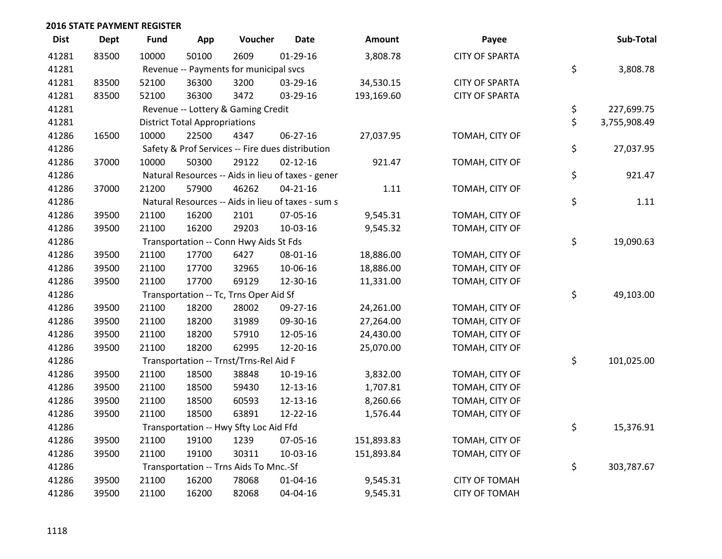| <b>Dist</b> | <b>Dept</b> | <b>Fund</b>                            | App                                  | Voucher                                            | <b>Date</b>    | <b>Amount</b> | Payee                 | Sub-Total          |
|-------------|-------------|----------------------------------------|--------------------------------------|----------------------------------------------------|----------------|---------------|-----------------------|--------------------|
| 41281       | 83500       | 10000                                  | 50100                                | 2609                                               | $01-29-16$     | 3,808.78      | <b>CITY OF SPARTA</b> |                    |
| 41281       |             | Revenue -- Payments for municipal svcs | \$<br>3,808.78                       |                                                    |                |               |                       |                    |
| 41281       | 83500       | 52100                                  | 36300                                | 3200                                               | 03-29-16       | 34,530.15     | <b>CITY OF SPARTA</b> |                    |
| 41281       | 83500       | 52100                                  | 36300                                | 3472                                               | 03-29-16       | 193,169.60    | <b>CITY OF SPARTA</b> |                    |
| 41281       |             |                                        |                                      | Revenue -- Lottery & Gaming Credit                 |                |               |                       | \$<br>227,699.75   |
| 41281       |             |                                        | <b>District Total Appropriations</b> |                                                    |                |               |                       | \$<br>3,755,908.49 |
| 41286       | 16500       | 10000                                  | 22500                                | 4347                                               | 06-27-16       | 27,037.95     | TOMAH, CITY OF        |                    |
| 41286       |             |                                        |                                      | Safety & Prof Services -- Fire dues distribution   |                |               |                       | \$<br>27,037.95    |
| 41286       | 37000       | 10000                                  | 50300                                | 29122                                              | $02 - 12 - 16$ | 921.47        | TOMAH, CITY OF        |                    |
| 41286       |             |                                        |                                      | Natural Resources -- Aids in lieu of taxes - gener |                |               |                       | \$<br>921.47       |
| 41286       | 37000       | 21200                                  | 57900                                | 46262                                              | $04 - 21 - 16$ | 1.11          | TOMAH, CITY OF        |                    |
| 41286       |             |                                        |                                      | Natural Resources -- Aids in lieu of taxes - sum s |                |               |                       | \$<br>1.11         |
| 41286       | 39500       | 21100                                  | 16200                                | 2101                                               | 07-05-16       | 9,545.31      | TOMAH, CITY OF        |                    |
| 41286       | 39500       | 21100                                  | 16200                                | 29203                                              | 10-03-16       | 9,545.32      | TOMAH, CITY OF        |                    |
| 41286       |             |                                        |                                      | Transportation -- Conn Hwy Aids St Fds             |                |               |                       | \$<br>19,090.63    |
| 41286       | 39500       | 21100                                  | 17700                                | 6427                                               | 08-01-16       | 18,886.00     | TOMAH, CITY OF        |                    |
| 41286       | 39500       | 21100                                  | 17700                                | 32965                                              | 10-06-16       | 18,886.00     | TOMAH, CITY OF        |                    |
| 41286       | 39500       | 21100                                  | 17700                                | 69129                                              | 12-30-16       | 11,331.00     | TOMAH, CITY OF        |                    |
| 41286       |             |                                        |                                      | Transportation -- Tc, Trns Oper Aid Sf             |                |               |                       | \$<br>49,103.00    |
| 41286       | 39500       | 21100                                  | 18200                                | 28002                                              | 09-27-16       | 24,261.00     | TOMAH, CITY OF        |                    |
| 41286       | 39500       | 21100                                  | 18200                                | 31989                                              | 09-30-16       | 27,264.00     | TOMAH, CITY OF        |                    |
| 41286       | 39500       | 21100                                  | 18200                                | 57910                                              | 12-05-16       | 24,430.00     | TOMAH, CITY OF        |                    |
| 41286       | 39500       | 21100                                  | 18200                                | 62995                                              | 12-20-16       | 25,070.00     | TOMAH, CITY OF        |                    |
| 41286       |             |                                        |                                      | Transportation -- Trnst/Trns-Rel Aid F             |                |               |                       | \$<br>101,025.00   |
| 41286       | 39500       | 21100                                  | 18500                                | 38848                                              | 10-19-16       | 3,832.00      | TOMAH, CITY OF        |                    |
| 41286       | 39500       | 21100                                  | 18500                                | 59430                                              | 12-13-16       | 1,707.81      | TOMAH, CITY OF        |                    |
| 41286       | 39500       | 21100                                  | 18500                                | 60593                                              | 12-13-16       | 8,260.66      | TOMAH, CITY OF        |                    |
| 41286       | 39500       | 21100                                  | 18500                                | 63891                                              | 12-22-16       | 1,576.44      | TOMAH, CITY OF        |                    |
| 41286       |             |                                        |                                      | Transportation -- Hwy Sfty Loc Aid Ffd             |                |               |                       | \$<br>15,376.91    |
| 41286       | 39500       | 21100                                  | 19100                                | 1239                                               | 07-05-16       | 151,893.83    | TOMAH, CITY OF        |                    |
| 41286       | 39500       | 21100                                  | 19100                                | 30311                                              | 10-03-16       | 151,893.84    | TOMAH, CITY OF        |                    |
| 41286       |             |                                        |                                      | Transportation -- Trns Aids To Mnc.-Sf             |                |               |                       | \$<br>303,787.67   |
| 41286       | 39500       | 21100                                  | 16200                                | 78068                                              | $01 - 04 - 16$ | 9,545.31      | <b>CITY OF TOMAH</b>  |                    |
| 41286       | 39500       | 21100                                  | 16200                                | 82068                                              | 04-04-16       | 9,545.31      | <b>CITY OF TOMAH</b>  |                    |